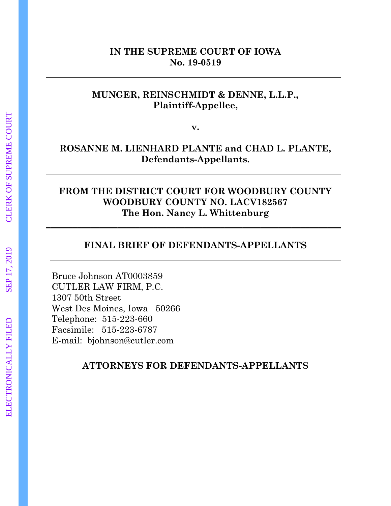### **IN THE SUPREME COURT OF IOWA No. 19-0519**

**\_\_\_\_\_\_\_\_\_\_\_\_\_\_\_\_\_\_\_\_\_\_\_\_\_\_\_\_\_\_\_\_\_\_\_\_\_\_\_\_\_\_\_\_\_\_\_\_\_\_\_\_\_\_\_\_\_\_\_\_\_\_\_\_\_\_** 

### **MUNGER, REINSCHMIDT & DENNE, L.L.P., Plaintiff-Appellee,**

**v.**

# **ROSANNE M. LIENHARD PLANTE and CHAD L. PLANTE, Defendants-Appellants.**

**\_\_\_\_\_\_\_\_\_\_\_\_\_\_\_\_\_\_\_\_\_\_\_\_\_\_\_\_\_\_\_\_\_\_\_\_\_\_\_\_\_\_\_\_\_\_\_\_\_\_\_\_\_\_\_\_\_\_\_\_\_\_\_\_\_\_**

# **FROM THE DISTRICT COURT FOR WOODBURY COUNTY WOODBURY COUNTY NO. LACV182567 The Hon. Nancy L. Whittenburg**

**\_\_\_\_\_\_\_\_\_\_\_\_\_\_\_\_\_\_\_\_\_\_\_\_\_\_\_\_\_\_\_\_\_\_\_\_\_\_\_\_\_\_\_\_\_\_\_\_\_\_\_\_\_\_\_\_\_\_\_\_\_\_\_\_\_\_**

### **FINAL BRIEF OF DEFENDANTS-APPELLANTS \_\_\_\_\_\_\_\_\_\_\_\_\_\_\_\_\_\_\_\_\_\_\_\_\_\_\_\_\_\_\_\_\_\_\_\_\_\_\_\_\_\_\_\_\_\_\_\_\_\_\_\_\_\_\_\_\_\_\_\_\_\_\_\_\_**

Bruce Johnson AT0003859 CUTLER LAW FIRM, P.C. 1307 50th Street West Des Moines, Iowa 50266 Telephone: 515-223-660 Facsimile: 515-223-6787 E-mail: bjohnson@cutler.com

**ATTORNEYS FOR DEFENDANTS-APPELLANTS**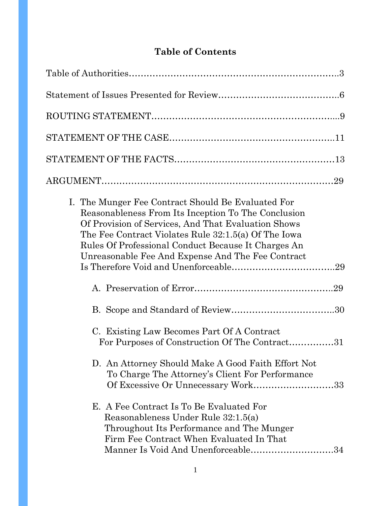# **Table of Contents**

|                                                                                                                                                                                                                                                                                                                                      | 29 |
|--------------------------------------------------------------------------------------------------------------------------------------------------------------------------------------------------------------------------------------------------------------------------------------------------------------------------------------|----|
| I. The Munger Fee Contract Should Be Evaluated For<br>Reasonableness From Its Inception To The Conclusion<br>Of Provision of Services, And That Evaluation Shows<br>The Fee Contract Violates Rule 32:1.5(a) Of The Iowa<br>Rules Of Professional Conduct Because It Charges An<br>Unreasonable Fee And Expense And The Fee Contract |    |
|                                                                                                                                                                                                                                                                                                                                      |    |
|                                                                                                                                                                                                                                                                                                                                      |    |
| C. Existing Law Becomes Part Of A Contract<br>For Purposes of Construction Of The Contract31                                                                                                                                                                                                                                         |    |
| D. An Attorney Should Make A Good Faith Effort Not<br>To Charge The Attorney's Client For Performance<br>Of Excessive Or Unnecessary Work33                                                                                                                                                                                          |    |
| E. A Fee Contract Is To Be Evaluated For<br>Reasonableness Under Rule 32:1.5(a)<br>Throughout Its Performance and The Munger<br>Firm Fee Contract When Evaluated In That<br>Manner Is Void And Unenforceable34                                                                                                                       |    |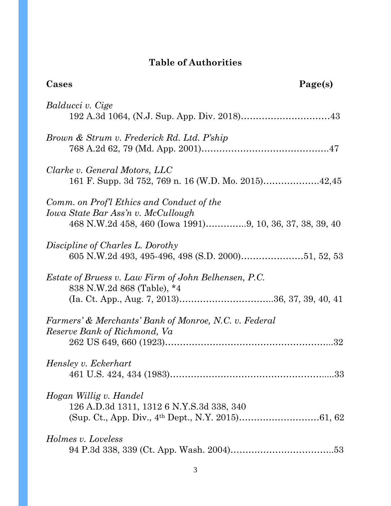# **Table of Authorities**

| Cases                                                                                                                                       | Page(s) |
|---------------------------------------------------------------------------------------------------------------------------------------------|---------|
| Balducci v. Cige                                                                                                                            |         |
| Brown & Strum v. Frederick Rd. Ltd. P'ship                                                                                                  |         |
| Clarke v. General Motors, LLC                                                                                                               |         |
| Comm. on Prof'l Ethics and Conduct of the<br>Iowa State Bar Ass'n v. McCullough<br>468 N.W.2d 458, 460 (Iowa 1991)9, 10, 36, 37, 38, 39, 40 |         |
| Discipline of Charles L. Dorothy                                                                                                            |         |
| Estate of Bruess v. Law Firm of John Belhensen, P.C.<br>838 N.W.2d 868 (Table), *4                                                          |         |
| Farmers' & Merchants' Bank of Monroe, N.C. v. Federal<br>Reserve Bank of Richmond, Va                                                       |         |
| Hensley v. Eckerhart                                                                                                                        |         |
| Hogan Willig v. Handel<br>126 A.D.3d 1311, 1312 6 N.Y.S.3d 338, 340                                                                         |         |
| Holmes v. Loveless                                                                                                                          |         |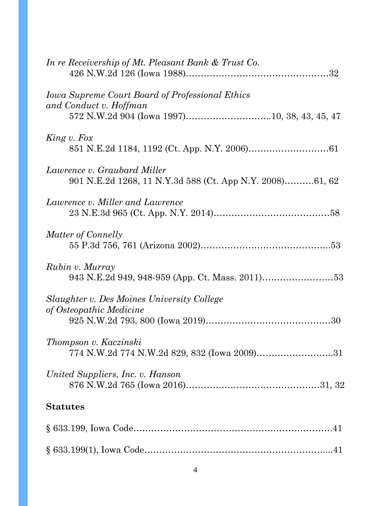| In re Receivership of Mt. Pleasant Bank & Trust Co.                                     |  |
|-----------------------------------------------------------------------------------------|--|
| <b>Iowa Supreme Court Board of Professional Ethics</b><br>and Conduct v. Hoffman        |  |
| King v. Fox                                                                             |  |
| Lawrence v. Graubard Miller<br>901 N.E.2d 1268, 11 N.Y.3d 588 (Ct. App N.Y. 2008)61, 62 |  |
| Lawrence v. Miller and Lawrence                                                         |  |
| Matter of Connelly                                                                      |  |
| Rubin v. Murray                                                                         |  |
| Slaughter v. Des Moines University College<br>of Osteopathic Medicine                   |  |
| Thompson v. Kaczinski<br>774 N.W.2d 774 N.W.2d 829, 832 (Iowa 2009)31                   |  |
| United Suppliers, Inc. v. Hanson                                                        |  |
| <b>Statutes</b>                                                                         |  |
|                                                                                         |  |
|                                                                                         |  |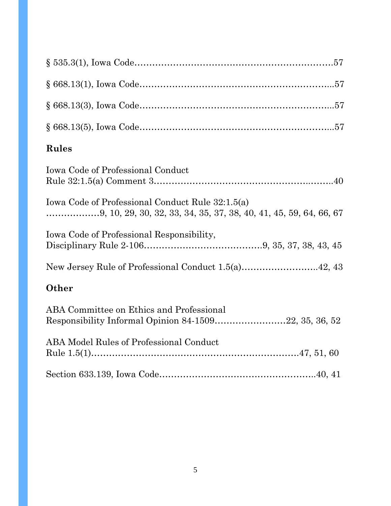| <b>Rules</b>                                                                                      |
|---------------------------------------------------------------------------------------------------|
| <b>Iowa Code of Professional Conduct</b>                                                          |
| Iowa Code of Professional Conduct Rule 32:1.5(a)                                                  |
| Iowa Code of Professional Responsibility,                                                         |
| New Jersey Rule of Professional Conduct 1.5(a)42, 43                                              |
| Other                                                                                             |
| ABA Committee on Ethics and Professional<br>Responsibility Informal Opinion 84-150922, 35, 36, 52 |
| ABA Model Rules of Professional Conduct                                                           |
|                                                                                                   |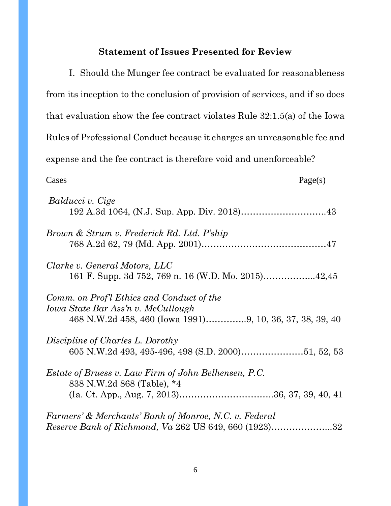# **Statement of Issues Presented for Review**

| I. Should the Munger fee contract be evaluated for reasonableness                                                                           |
|---------------------------------------------------------------------------------------------------------------------------------------------|
| from its inception to the conclusion of provision of services, and if so does                                                               |
| that evaluation show the fee contract violates Rule $32:1.5(a)$ of the Iowa                                                                 |
| Rules of Professional Conduct because it charges an unreasonable fee and                                                                    |
| expense and the fee contract is therefore void and unenforceable?                                                                           |
| Page(s)<br>Cases                                                                                                                            |
| Balducci v. Cige                                                                                                                            |
| Brown & Strum v. Frederick Rd. Ltd. P'ship                                                                                                  |
| Clarke v. General Motors, LLC                                                                                                               |
| Comm. on Prof'l Ethics and Conduct of the<br>Iowa State Bar Ass'n v. McCullough<br>468 N.W.2d 458, 460 (Iowa 1991)9, 10, 36, 37, 38, 39, 40 |
| Discipline of Charles L. Dorothy                                                                                                            |
| Estate of Bruess v. Law Firm of John Belhensen, P.C.<br>838 N.W.2d 868 (Table), *4                                                          |
| Farmers' & Merchants' Bank of Monroe, N.C. v. Federal<br><i>Reserve Bank of Richmond, Va</i> 262 US 649, 660 (1923)32                       |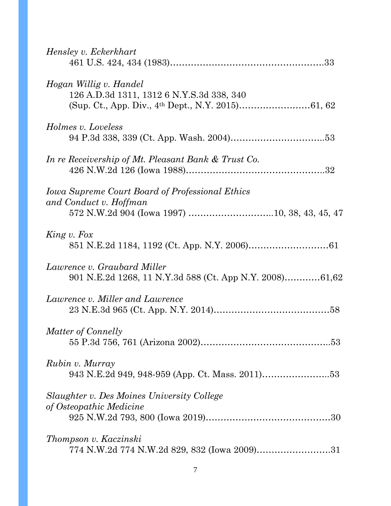| Hensley v. Eckerkhart                                                                  |
|----------------------------------------------------------------------------------------|
| Hogan Willig v. Handel<br>126 A.D.3d 1311, 1312 6 N.Y.S.3d 338, 340                    |
| Holmes v. Loveless                                                                     |
| In re Receivership of Mt. Pleasant Bank & Trust Co.                                    |
| <b>Iowa Supreme Court Board of Professional Ethics</b><br>and Conduct v. Hoffman       |
| King v. Fox                                                                            |
| Lawrence v. Graubard Miller<br>901 N.E.2d 1268, 11 N.Y.3d 588 (Ct. App N.Y. 2008)61,62 |
| Lawrence v. Miller and Lawrence                                                        |
| Matter of Connelly                                                                     |
| Rubin v. Murray<br>943 N.E.2d 949, 948-959 (App. Ct. Mass. 2011)53                     |
| Slaughter v. Des Moines University College<br>of Osteopathic Medicine                  |
| Thompson v. Kaczinski                                                                  |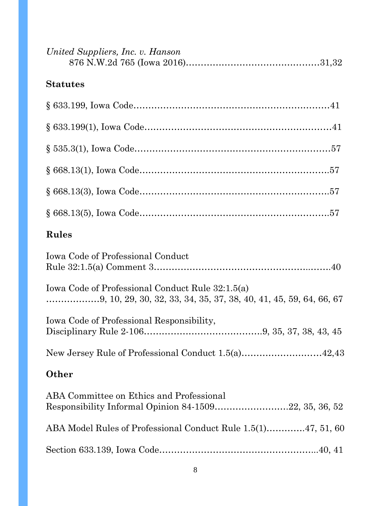| United Suppliers, Inc. v. Hanson                                                                  |
|---------------------------------------------------------------------------------------------------|
| <b>Statutes</b>                                                                                   |
|                                                                                                   |
|                                                                                                   |
|                                                                                                   |
|                                                                                                   |
|                                                                                                   |
|                                                                                                   |
| Rules                                                                                             |
| <b>Iowa Code of Professional Conduct</b>                                                          |
| Iowa Code of Professional Conduct Rule 32:1.5(a)                                                  |
| Iowa Code of Professional Responsibility,                                                         |
| New Jersey Rule of Professional Conduct 1.5(a)42,43                                               |
| <b>Other</b>                                                                                      |
| ABA Committee on Ethics and Professional<br>Responsibility Informal Opinion 84-150922, 35, 36, 52 |
| ABA Model Rules of Professional Conduct Rule 1.5(1)47, 51, 60                                     |
|                                                                                                   |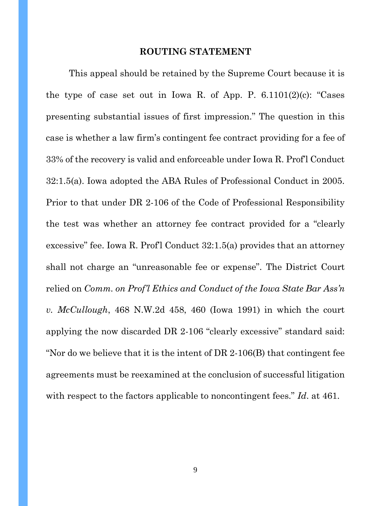#### **ROUTING STATEMENT**

This appeal should be retained by the Supreme Court because it is the type of case set out in Iowa R. of App. P.  $6.1101(2)(c)$ : "Cases" presenting substantial issues of first impression." The question in this case is whether a law firm's contingent fee contract providing for a fee of 33% of the recovery is valid and enforceable under Iowa R. Prof'l Conduct 32:1.5(a). Iowa adopted the ABA Rules of Professional Conduct in 2005. Prior to that under DR 2-106 of the Code of Professional Responsibility the test was whether an attorney fee contract provided for a "clearly excessive" fee. Iowa R. Prof'l Conduct 32:1.5(a) provides that an attorney shall not charge an "unreasonable fee or expense". The District Court relied on *Comm. on Prof'l Ethics and Conduct of the Iowa State Bar Ass'n v. McCullough*, 468 N.W.2d 458, 460 (Iowa 1991) in which the court applying the now discarded DR 2-106 "clearly excessive" standard said: "Nor do we believe that it is the intent of DR 2-106(B) that contingent fee agreements must be reexamined at the conclusion of successful litigation with respect to the factors applicable to noncontingent fees." *Id*. at 461.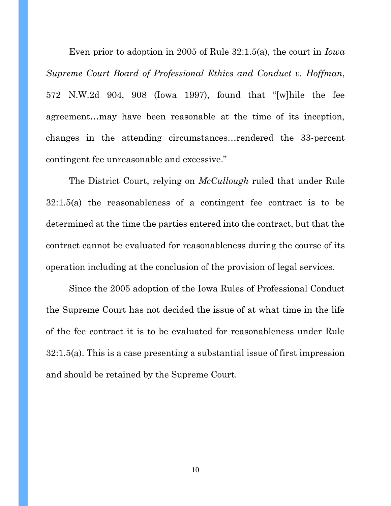Even prior to adoption in 2005 of Rule 32:1.5(a), the court in *Iowa Supreme Court Board of Professional Ethics and Conduct v. Hoffman*, 572 N.W.2d 904, 908 (Iowa 1997), found that "[w]hile the fee agreement…may have been reasonable at the time of its inception, changes in the attending circumstances…rendered the 33-percent contingent fee unreasonable and excessive."

The District Court, relying on *McCullough* ruled that under Rule 32:1.5(a) the reasonableness of a contingent fee contract is to be determined at the time the parties entered into the contract, but that the contract cannot be evaluated for reasonableness during the course of its operation including at the conclusion of the provision of legal services.

Since the 2005 adoption of the Iowa Rules of Professional Conduct the Supreme Court has not decided the issue of at what time in the life of the fee contract it is to be evaluated for reasonableness under Rule 32:1.5(a). This is a case presenting a substantial issue of first impression and should be retained by the Supreme Court.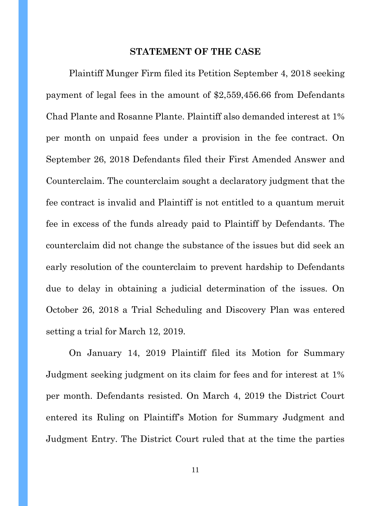#### **STATEMENT OF THE CASE**

Plaintiff Munger Firm filed its Petition September 4, 2018 seeking payment of legal fees in the amount of \$2,559,456.66 from Defendants Chad Plante and Rosanne Plante. Plaintiff also demanded interest at 1% per month on unpaid fees under a provision in the fee contract. On September 26, 2018 Defendants filed their First Amended Answer and Counterclaim. The counterclaim sought a declaratory judgment that the fee contract is invalid and Plaintiff is not entitled to a quantum meruit fee in excess of the funds already paid to Plaintiff by Defendants. The counterclaim did not change the substance of the issues but did seek an early resolution of the counterclaim to prevent hardship to Defendants due to delay in obtaining a judicial determination of the issues. On October 26, 2018 a Trial Scheduling and Discovery Plan was entered setting a trial for March 12, 2019.

On January 14, 2019 Plaintiff filed its Motion for Summary Judgment seeking judgment on its claim for fees and for interest at 1% per month. Defendants resisted. On March 4, 2019 the District Court entered its Ruling on Plaintiff's Motion for Summary Judgment and Judgment Entry. The District Court ruled that at the time the parties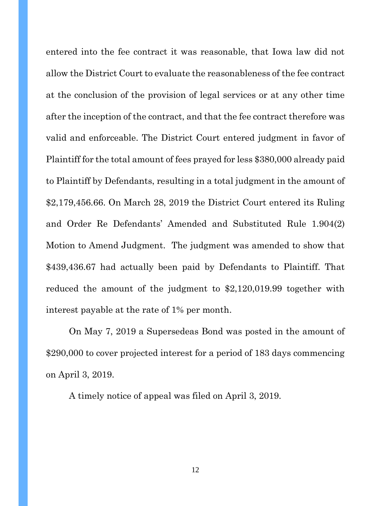entered into the fee contract it was reasonable, that Iowa law did not allow the District Court to evaluate the reasonableness of the fee contract at the conclusion of the provision of legal services or at any other time after the inception of the contract, and that the fee contract therefore was valid and enforceable. The District Court entered judgment in favor of Plaintiff for the total amount of fees prayed for less \$380,000 already paid to Plaintiff by Defendants, resulting in a total judgment in the amount of \$2,179,456.66. On March 28, 2019 the District Court entered its Ruling and Order Re Defendants' Amended and Substituted Rule 1.904(2) Motion to Amend Judgment. The judgment was amended to show that \$439,436.67 had actually been paid by Defendants to Plaintiff. That reduced the amount of the judgment to \$2,120,019.99 together with interest payable at the rate of 1% per month.

On May 7, 2019 a Supersedeas Bond was posted in the amount of \$290,000 to cover projected interest for a period of 183 days commencing on April 3, 2019.

A timely notice of appeal was filed on April 3, 2019.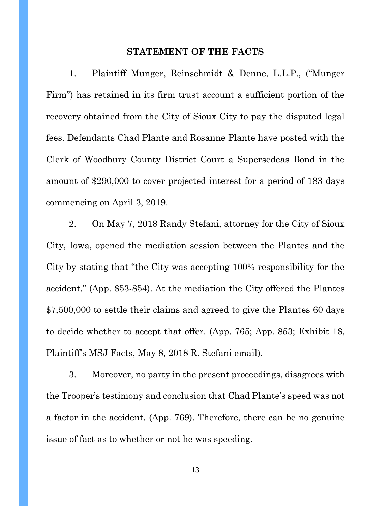#### **STATEMENT OF THE FACTS**

1. Plaintiff Munger, Reinschmidt & Denne, L.L.P., ("Munger Firm") has retained in its firm trust account a sufficient portion of the recovery obtained from the City of Sioux City to pay the disputed legal fees. Defendants Chad Plante and Rosanne Plante have posted with the Clerk of Woodbury County District Court a Supersedeas Bond in the amount of \$290,000 to cover projected interest for a period of 183 days commencing on April 3, 2019.

2. On May 7, 2018 Randy Stefani, attorney for the City of Sioux City, Iowa, opened the mediation session between the Plantes and the City by stating that "the City was accepting 100% responsibility for the accident." (App. 853-854). At the mediation the City offered the Plantes \$7,500,000 to settle their claims and agreed to give the Plantes 60 days to decide whether to accept that offer. (App. 765; App. 853; Exhibit 18, Plaintiff's MSJ Facts, May 8, 2018 R. Stefani email).

3. Moreover, no party in the present proceedings, disagrees with the Trooper's testimony and conclusion that Chad Plante's speed was not a factor in the accident. (App. 769). Therefore, there can be no genuine issue of fact as to whether or not he was speeding.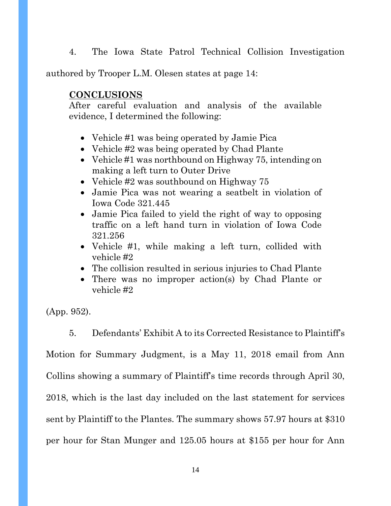4. The Iowa State Patrol Technical Collision Investigation

authored by Trooper L.M. Olesen states at page 14:

#### **CONCLUSIONS**

After careful evaluation and analysis of the available evidence, I determined the following:

- Vehicle #1 was being operated by Jamie Pica
- Vehicle #2 was being operated by Chad Plante
- Vehicle #1 was northbound on Highway 75, intending on making a left turn to Outer Drive
- Vehicle #2 was southbound on Highway 75
- Jamie Pica was not wearing a seatbelt in violation of Iowa Code 321.445
- Jamie Pica failed to yield the right of way to opposing traffic on a left hand turn in violation of Iowa Code 321.256
- Vehicle #1, while making a left turn, collided with vehicle #2
- The collision resulted in serious injuries to Chad Plante
- There was no improper action(s) by Chad Plante or vehicle #2

(App. 952).

5. Defendants' Exhibit A to its Corrected Resistance to Plaintiff's Motion for Summary Judgment, is a May 11, 2018 email from Ann Collins showing a summary of Plaintiff's time records through April 30,

2018, which is the last day included on the last statement for services

sent by Plaintiff to the Plantes. The summary shows 57.97 hours at \$310

per hour for Stan Munger and 125.05 hours at \$155 per hour for Ann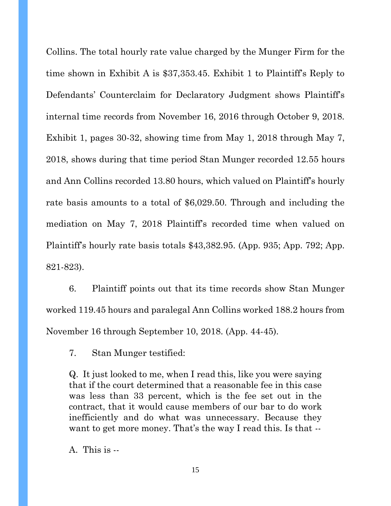Collins. The total hourly rate value charged by the Munger Firm for the time shown in Exhibit A is \$37,353.45. Exhibit 1 to Plaintiff's Reply to Defendants' Counterclaim for Declaratory Judgment shows Plaintiff's internal time records from November 16, 2016 through October 9, 2018. Exhibit 1, pages 30-32, showing time from May 1, 2018 through May 7, 2018, shows during that time period Stan Munger recorded 12.55 hours and Ann Collins recorded 13.80 hours, which valued on Plaintiff's hourly rate basis amounts to a total of \$6,029.50. Through and including the mediation on May 7, 2018 Plaintiff's recorded time when valued on Plaintiff's hourly rate basis totals \$43,382.95. (App. 935; App. 792; App. 821-823).

6. Plaintiff points out that its time records show Stan Munger worked 119.45 hours and paralegal Ann Collins worked 188.2 hours from November 16 through September 10, 2018. (App. 44-45).

7. Stan Munger testified:

Q. It just looked to me, when I read this, like you were saying that if the court determined that a reasonable fee in this case was less than 33 percent, which is the fee set out in the contract, that it would cause members of our bar to do work inefficiently and do what was unnecessary. Because they want to get more money. That's the way I read this. Is that --

A. This is --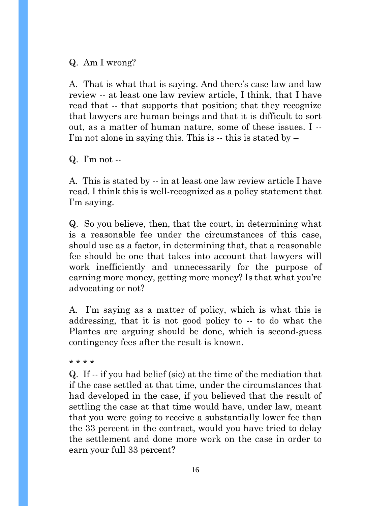Q. Am I wrong?

A. That is what that is saying. And there's case law and law review -- at least one law review article, I think, that I have read that -- that supports that position; that they recognize that lawyers are human beings and that it is difficult to sort out, as a matter of human nature, some of these issues. I -- I'm not alone in saying this. This is  $-$  this is stated by  $-$ 

Q. I'm not --

A. This is stated by -- in at least one law review article I have read. I think this is well-recognized as a policy statement that I'm saying.

Q. So you believe, then, that the court, in determining what is a reasonable fee under the circumstances of this case, should use as a factor, in determining that, that a reasonable fee should be one that takes into account that lawyers will work inefficiently and unnecessarily for the purpose of earning more money, getting more money? Is that what you're advocating or not?

A. I'm saying as a matter of policy, which is what this is addressing, that it is not good policy to -- to do what the Plantes are arguing should be done, which is second-guess contingency fees after the result is known.

\* \* \* \*

Q. If -- if you had belief (sic) at the time of the mediation that if the case settled at that time, under the circumstances that had developed in the case, if you believed that the result of settling the case at that time would have, under law, meant that you were going to receive a substantially lower fee than the 33 percent in the contract, would you have tried to delay the settlement and done more work on the case in order to earn your full 33 percent?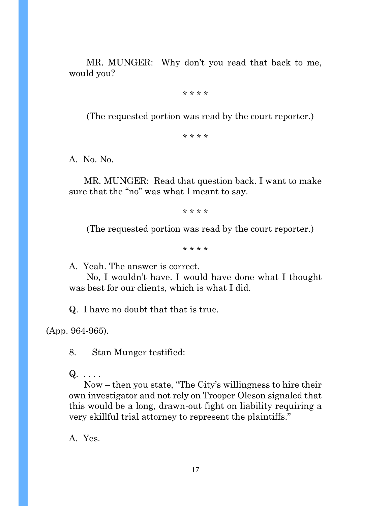MR. MUNGER: Why don't you read that back to me, would you?

\* \* \* \*

(The requested portion was read by the court reporter.)

\* \* \* \*

A. No. No.

 MR. MUNGER: Read that question back. I want to make sure that the "no" was what I meant to say.

\* \* \* \*

(The requested portion was read by the court reporter.)

\* \* \* \*

A. Yeah. The answer is correct.

 No, I wouldn't have. I would have done what I thought was best for our clients, which is what I did.

Q. I have no doubt that that is true.

(App. 964-965).

8. Stan Munger testified:

 $Q. \ldots$  .

 Now – then you state, "The City's willingness to hire their own investigator and not rely on Trooper Oleson signaled that this would be a long, drawn-out fight on liability requiring a very skillful trial attorney to represent the plaintiffs."

A. Yes.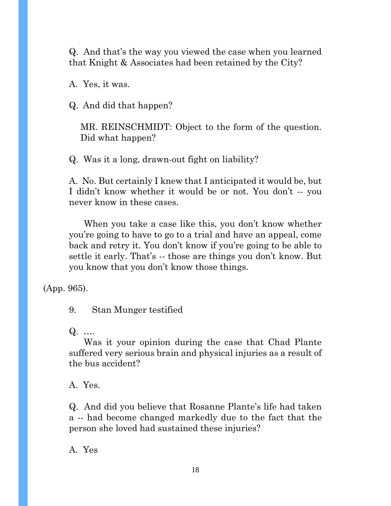Q. And that's the way you viewed the case when you learned that Knight & Associates had been retained by the City?

A. Yes, it was.

Q. And did that happen?

MR. REINSCHMIDT: Object to the form of the question. Did what happen?

Q. Was it a long, drawn-out fight on liability?

A. No. But certainly I knew that I anticipated it would be, but I didn't know whether it would be or not. You don't -- you never know in these cases.

 When you take a case like this, you don't know whether you're going to have to go to a trial and have an appeal, come back and retry it. You don't know if you're going to be able to settle it early. That's -- those are things you don't know. But you know that you don't know those things.

(App. 965).

9. Stan Munger testified

Q. ….

 Was it your opinion during the case that Chad Plante suffered very serious brain and physical injuries as a result of the bus accident?

A. Yes.

Q. And did you believe that Rosanne Plante's life had taken a -- had become changed markedly due to the fact that the person she loved had sustained these injuries?

A. Yes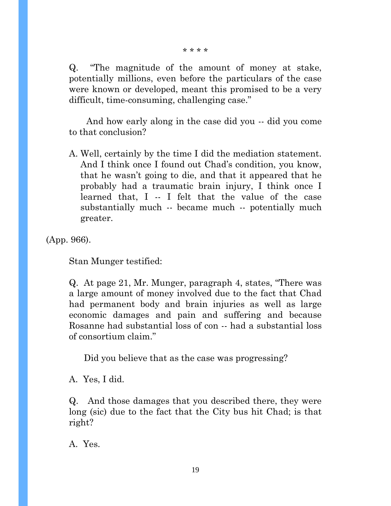\* \* \* \*

Q. "The magnitude of the amount of money at stake, potentially millions, even before the particulars of the case were known or developed, meant this promised to be a very difficult, time-consuming, challenging case."

 And how early along in the case did you -- did you come to that conclusion?

A. Well, certainly by the time I did the mediation statement. And I think once I found out Chad's condition, you know, that he wasn't going to die, and that it appeared that he probably had a traumatic brain injury, I think once I learned that, I -- I felt that the value of the case substantially much -- became much -- potentially much greater.

(App. 966).

Stan Munger testified:

Q. At page 21, Mr. Munger, paragraph 4, states, "There was a large amount of money involved due to the fact that Chad had permanent body and brain injuries as well as large economic damages and pain and suffering and because Rosanne had substantial loss of con -- had a substantial loss of consortium claim."

Did you believe that as the case was progressing?

A. Yes, I did.

Q. And those damages that you described there, they were long (sic) due to the fact that the City bus hit Chad; is that right?

A. Yes.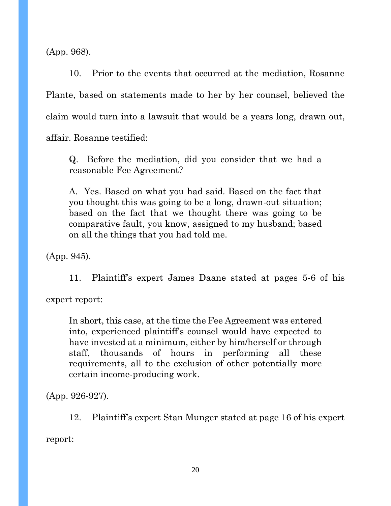(App. 968).

10. Prior to the events that occurred at the mediation, Rosanne Plante, based on statements made to her by her counsel, believed the claim would turn into a lawsuit that would be a years long, drawn out, affair. Rosanne testified:

Q. Before the mediation, did you consider that we had a reasonable Fee Agreement?

A. Yes. Based on what you had said. Based on the fact that you thought this was going to be a long, drawn-out situation; based on the fact that we thought there was going to be comparative fault, you know, assigned to my husband; based on all the things that you had told me.

(App. 945).

11. Plaintiff's expert James Daane stated at pages 5-6 of his

expert report:

In short, this case, at the time the Fee Agreement was entered into, experienced plaintiff's counsel would have expected to have invested at a minimum, either by him/herself or through staff, thousands of hours in performing all these requirements, all to the exclusion of other potentially more certain income-producing work.

(App. 926-927).

12. Plaintiff's expert Stan Munger stated at page 16 of his expert

report: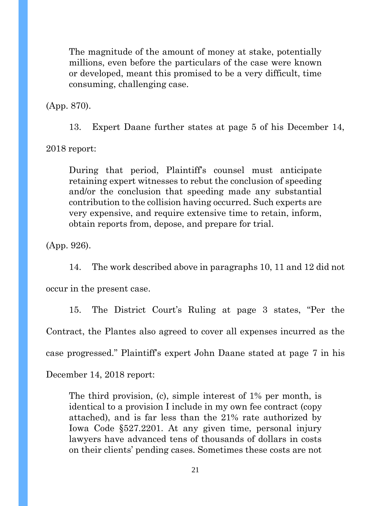The magnitude of the amount of money at stake, potentially millions, even before the particulars of the case were known or developed, meant this promised to be a very difficult, time consuming, challenging case.

(App. 870).

13. Expert Daane further states at page 5 of his December 14,

2018 report:

During that period, Plaintiff's counsel must anticipate retaining expert witnesses to rebut the conclusion of speeding and/or the conclusion that speeding made any substantial contribution to the collision having occurred. Such experts are very expensive, and require extensive time to retain, inform, obtain reports from, depose, and prepare for trial.

(App. 926).

14. The work described above in paragraphs 10, 11 and 12 did not

occur in the present case.

15. The District Court's Ruling at page 3 states, "Per the Contract, the Plantes also agreed to cover all expenses incurred as the case progressed." Plaintiff's expert John Daane stated at page 7 in his

December 14, 2018 report:

The third provision, (c), simple interest of 1% per month, is identical to a provision I include in my own fee contract (copy attached), and is far less than the 21% rate authorized by Iowa Code §527.2201. At any given time, personal injury lawyers have advanced tens of thousands of dollars in costs on their clients' pending cases. Sometimes these costs are not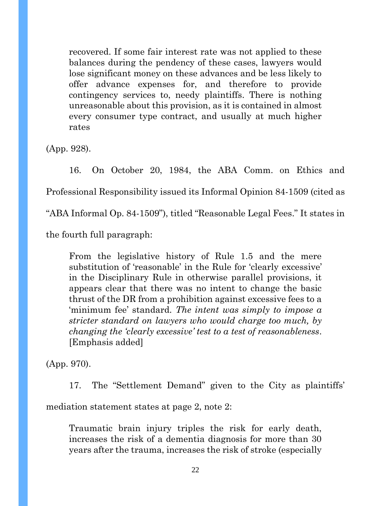recovered. If some fair interest rate was not applied to these balances during the pendency of these cases, lawyers would lose significant money on these advances and be less likely to offer advance expenses for, and therefore to provide contingency services to, needy plaintiffs. There is nothing unreasonable about this provision, as it is contained in almost every consumer type contract, and usually at much higher rates

(App. 928).

16. On October 20, 1984, the ABA Comm. on Ethics and Professional Responsibility issued its Informal Opinion 84-1509 (cited as "ABA Informal Op. 84-1509"), titled "Reasonable Legal Fees." It states in the fourth full paragraph:

From the legislative history of Rule 1.5 and the mere substitution of 'reasonable' in the Rule for 'clearly excessive' in the Disciplinary Rule in otherwise parallel provisions, it appears clear that there was no intent to change the basic thrust of the DR from a prohibition against excessive fees to a 'minimum fee' standard. *The intent was simply to impose a stricter standard on lawyers who would charge too much, by changing the 'clearly excessive' test to a test of reasonableness*. [Emphasis added]

(App. 970).

17. The "Settlement Demand" given to the City as plaintiffs' mediation statement states at page 2, note 2:

Traumatic brain injury triples the risk for early death, increases the risk of a dementia diagnosis for more than 30 years after the trauma, increases the risk of stroke (especially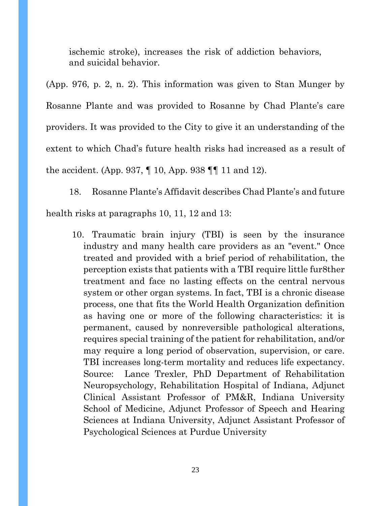ischemic stroke), increases the risk of addiction behaviors, and suicidal behavior.

(App. 976, p. 2, n. 2). This information was given to Stan Munger by Rosanne Plante and was provided to Rosanne by Chad Plante's care providers. It was provided to the City to give it an understanding of the extent to which Chad's future health risks had increased as a result of the accident. (App. 937, ¶ 10, App. 938 ¶¶ 11 and 12).

18. Rosanne Plante's Affidavit describes Chad Plante's and future health risks at paragraphs 10, 11, 12 and 13:

10. Traumatic brain injury (TBI) is seen by the insurance industry and many health care providers as an "event." Once treated and provided with a brief period of rehabilitation, the perception exists that patients with a TBI require little fur8ther treatment and face no lasting effects on the central nervous system or other organ systems. In fact, TBI is a chronic disease process, one that fits the World Health Organization definition as having one or more of the following characteristics: it is permanent, caused by nonreversible pathological alterations, requires special training of the patient for rehabilitation, and/or may require a long period of observation, supervision, or care. TBI increases long-term mortality and reduces life expectancy. Source: Lance Trexler, PhD Department of Rehabilitation Neuropsychology, Rehabilitation Hospital of Indiana, Adjunct Clinical Assistant Professor of PM&R, Indiana University School of Medicine, Adjunct Professor of Speech and Hearing Sciences at Indiana University, Adjunct Assistant Professor of Psychological Sciences at Purdue University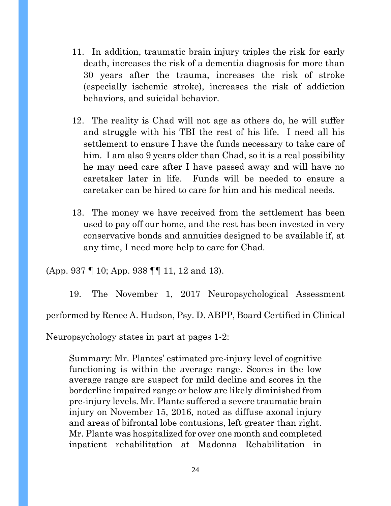- 11. In addition, traumatic brain injury triples the risk for early death, increases the risk of a dementia diagnosis for more than 30 years after the trauma, increases the risk of stroke (especially ischemic stroke), increases the risk of addiction behaviors, and suicidal behavior.
- 12. The reality is Chad will not age as others do, he will suffer and struggle with his TBI the rest of his life. I need all his settlement to ensure I have the funds necessary to take care of him. I am also 9 years older than Chad, so it is a real possibility he may need care after I have passed away and will have no caretaker later in life. Funds will be needed to ensure a caretaker can be hired to care for him and his medical needs.
- 13. The money we have received from the settlement has been used to pay off our home, and the rest has been invested in very conservative bonds and annuities designed to be available if, at any time, I need more help to care for Chad.

(App. 937 ¶ 10; App. 938 ¶¶ 11, 12 and 13).

19. The November 1, 2017 Neuropsychological Assessment performed by Renee A. Hudson, Psy. D. ABPP, Board Certified in Clinical

Neuropsychology states in part at pages 1-2:

Summary: Mr. Plantes' estimated pre-injury level of cognitive functioning is within the average range. Scores in the low average range are suspect for mild decline and scores in the borderline impaired range or below are likely diminished from pre-injury levels. Mr. Plante suffered a severe traumatic brain injury on November 15, 2016, noted as diffuse axonal injury and areas of bifrontal lobe contusions, left greater than right. Mr. Plante was hospitalized for over one month and completed inpatient rehabilitation at Madonna Rehabilitation in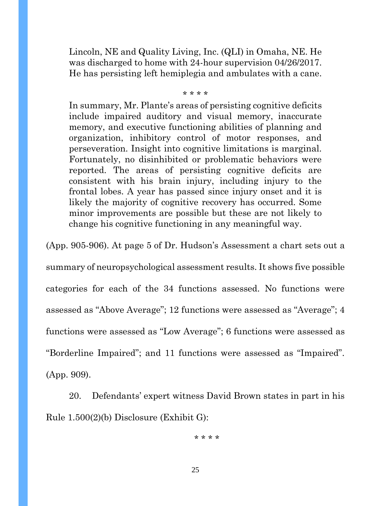Lincoln, NE and Quality Living, Inc. (QLI) in Omaha, NE. He was discharged to home with 24-hour supervision 04/26/2017. He has persisting left hemiplegia and ambulates with a cane.

\* \* \* \*

In summary, Mr. Plante's areas of persisting cognitive deficits include impaired auditory and visual memory, inaccurate memory, and executive functioning abilities of planning and organization, inhibitory control of motor responses, and perseveration. Insight into cognitive limitations is marginal. Fortunately, no disinhibited or problematic behaviors were reported. The areas of persisting cognitive deficits are consistent with his brain injury, including injury to the frontal lobes. A year has passed since injury onset and it is likely the majority of cognitive recovery has occurred. Some minor improvements are possible but these are not likely to change his cognitive functioning in any meaningful way.

(App. 905-906). At page 5 of Dr. Hudson's Assessment a chart sets out a summary of neuropsychological assessment results. It shows five possible categories for each of the 34 functions assessed. No functions were assessed as "Above Average"; 12 functions were assessed as "Average"; 4 functions were assessed as "Low Average"; 6 functions were assessed as "Borderline Impaired"; and 11 functions were assessed as "Impaired". (App. 909).

20. Defendants' expert witness David Brown states in part in his Rule 1.500(2)(b) Disclosure (Exhibit G):

\* \* \* \*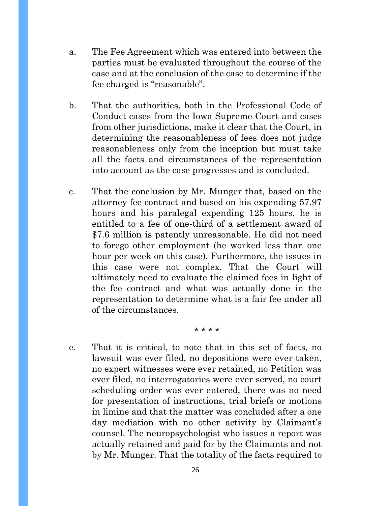- a. The Fee Agreement which was entered into between the parties must be evaluated throughout the course of the case and at the conclusion of the case to determine if the fee charged is "reasonable".
- b. That the authorities, both in the Professional Code of Conduct cases from the Iowa Supreme Court and cases from other jurisdictions, make it clear that the Court, in determining the reasonableness of fees does not judge reasonableness only from the inception but must take all the facts and circumstances of the representation into account as the case progresses and is concluded.
- c. That the conclusion by Mr. Munger that, based on the attorney fee contract and based on his expending 57.97 hours and his paralegal expending 125 hours, he is entitled to a fee of one-third of a settlement award of \$7.6 million is patently unreasonable. He did not need to forego other employment (he worked less than one hour per week on this case). Furthermore, the issues in this case were not complex. That the Court will ultimately need to evaluate the claimed fees in light of the fee contract and what was actually done in the representation to determine what is a fair fee under all of the circumstances.
	- \* \* \* \*
- e. That it is critical, to note that in this set of facts, no lawsuit was ever filed, no depositions were ever taken, no expert witnesses were ever retained, no Petition was ever filed, no interrogatories were ever served, no court scheduling order was ever entered, there was no need for presentation of instructions, trial briefs or motions in limine and that the matter was concluded after a one day mediation with no other activity by Claimant's counsel. The neuropsychologist who issues a report was actually retained and paid for by the Claimants and not by Mr. Munger. That the totality of the facts required to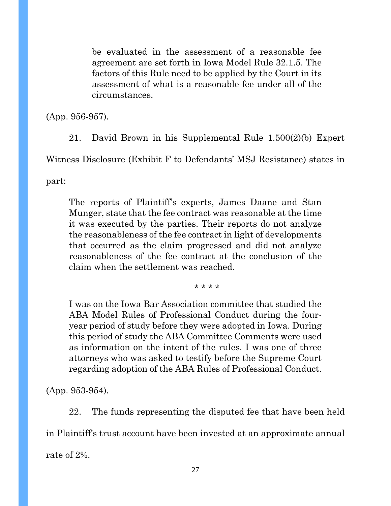be evaluated in the assessment of a reasonable fee agreement are set forth in Iowa Model Rule 32.1.5. The factors of this Rule need to be applied by the Court in its assessment of what is a reasonable fee under all of the circumstances.

(App. 956-957).

21. David Brown in his Supplemental Rule 1.500(2)(b) Expert

Witness Disclosure (Exhibit F to Defendants' MSJ Resistance) states in

part:

The reports of Plaintiff's experts, James Daane and Stan Munger, state that the fee contract was reasonable at the time it was executed by the parties. Their reports do not analyze the reasonableness of the fee contract in light of developments that occurred as the claim progressed and did not analyze reasonableness of the fee contract at the conclusion of the claim when the settlement was reached.

\* \* \* \*

I was on the Iowa Bar Association committee that studied the ABA Model Rules of Professional Conduct during the fouryear period of study before they were adopted in Iowa. During this period of study the ABA Committee Comments were used as information on the intent of the rules. I was one of three attorneys who was asked to testify before the Supreme Court regarding adoption of the ABA Rules of Professional Conduct.

(App. 953-954).

22. The funds representing the disputed fee that have been held

in Plaintiff's trust account have been invested at an approximate annual

rate of 2%.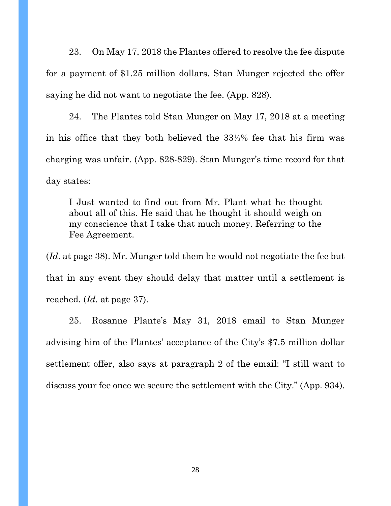23. On May 17, 2018 the Plantes offered to resolve the fee dispute for a payment of \$1.25 million dollars. Stan Munger rejected the offer saying he did not want to negotiate the fee. (App. 828).

24. The Plantes told Stan Munger on May 17, 2018 at a meeting in his office that they both believed the 33⅓% fee that his firm was charging was unfair. (App. 828-829). Stan Munger's time record for that day states:

I Just wanted to find out from Mr. Plant what he thought about all of this. He said that he thought it should weigh on my conscience that I take that much money. Referring to the Fee Agreement.

(*Id*. at page 38). Mr. Munger told them he would not negotiate the fee but that in any event they should delay that matter until a settlement is reached. (*Id*. at page 37).

25. Rosanne Plante's May 31, 2018 email to Stan Munger advising him of the Plantes' acceptance of the City's \$7.5 million dollar settlement offer, also says at paragraph 2 of the email: "I still want to discuss your fee once we secure the settlement with the City." (App. 934).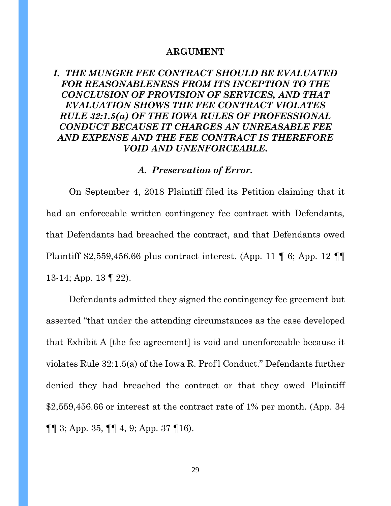#### **ARGUMENT**

# *I. THE MUNGER FEE CONTRACT SHOULD BE EVALUATED FOR REASONABLENESS FROM ITS INCEPTION TO THE CONCLUSION OF PROVISION OF SERVICES, AND THAT EVALUATION SHOWS THE FEE CONTRACT VIOLATES RULE 32:1.5(a) OF THE IOWA RULES OF PROFESSIONAL CONDUCT BECAUSE IT CHARGES AN UNREASABLE FEE AND EXPENSE AND THE FEE CONTRACT IS THEREFORE VOID AND UNENFORCEABLE.*

#### *A. Preservation of Error.*

On September 4, 2018 Plaintiff filed its Petition claiming that it had an enforceable written contingency fee contract with Defendants, that Defendants had breached the contract, and that Defendants owed Plaintiff \$2,559,456.66 plus contract interest. (App. 11 ¶ 6; App. 12 ¶¶ 13-14; App. 13 ¶ 22).

Defendants admitted they signed the contingency fee greement but asserted "that under the attending circumstances as the case developed that Exhibit A [the fee agreement] is void and unenforceable because it violates Rule 32:1.5(a) of the Iowa R. Prof'l Conduct." Defendants further denied they had breached the contract or that they owed Plaintiff  $$2,559,456.66$  or interest at the contract rate of 1% per month. (App. 34) ¶¶ 3; App. 35, ¶¶ 4, 9; App. 37 ¶16).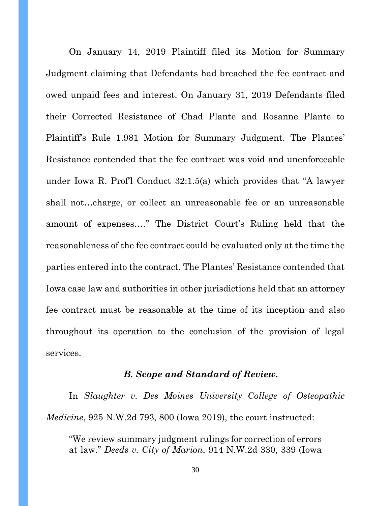On January 14, 2019 Plaintiff filed its Motion for Summary Judgment claiming that Defendants had breached the fee contract and owed unpaid fees and interest. On January 31, 2019 Defendants filed their Corrected Resistance of Chad Plante and Rosanne Plante to Plaintiff's Rule 1.981 Motion for Summary Judgment. The Plantes' Resistance contended that the fee contract was void and unenforceable under Iowa R. Prof'l Conduct 32:1.5(a) which provides that "A lawyer shall not…charge, or collect an unreasonable fee or an unreasonable amount of expenses…." The District Court's Ruling held that the reasonableness of the fee contract could be evaluated only at the time the parties entered into the contract. The Plantes' Resistance contended that Iowa case law and authorities in other jurisdictions held that an attorney fee contract must be reasonable at the time of its inception and also throughout its operation to the conclusion of the provision of legal services.

#### *B. Scope and Standard of Review.*

In *Slaughter v. Des Moines University College of Osteopathic Medicine*, 925 N.W.2d 793, 800 (Iowa 2019), the court instructed:

"We review summary judgment rulings for correction of errors at law." *Deeds v. City of Marion*, 914 N.W.2d 330, 339 (Iowa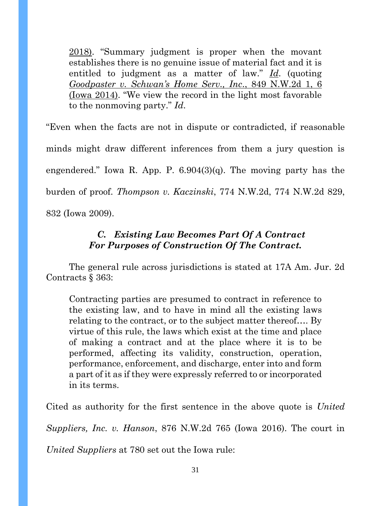2018). "Summary judgment is proper when the movant establishes there is no genuine issue of material fact and it is entitled to judgment as a matter of law." *Id*. (quoting *Goodpaster v. Schwan's Home Serv., Inc*., 849 N.W.2d 1, 6 (Iowa 2014). "We view the record in the light most favorable to the nonmoving party." *Id*.

"Even when the facts are not in dispute or contradicted, if reasonable minds might draw different inferences from them a jury question is engendered." Iowa R. App. P. 6.904(3)(q). The moving party has the burden of proof. *Thompson v. Kaczinski*, 774 N.W.2d, 774 N.W.2d 829, 832 (Iowa 2009).

# *C. Existing Law Becomes Part Of A Contract For Purposes of Construction Of The Contract.*

The general rule across jurisdictions is stated at 17A Am. Jur. 2d Contracts § 363:

Contracting parties are presumed to contract in reference to the existing law, and to have in mind all the existing laws relating to the contract, or to the subject matter thereof…. By virtue of this rule, the laws which exist at the time and place of making a contract and at the place where it is to be performed, affecting its validity, construction, operation, performance, enforcement, and discharge, enter into and form a part of it as if they were expressly referred to or incorporated in its terms.

Cited as authority for the first sentence in the above quote is *United Suppliers, Inc. v. Hanson*, 876 N.W.2d 765 (Iowa 2016). The court in *United Suppliers* at 780 set out the Iowa rule: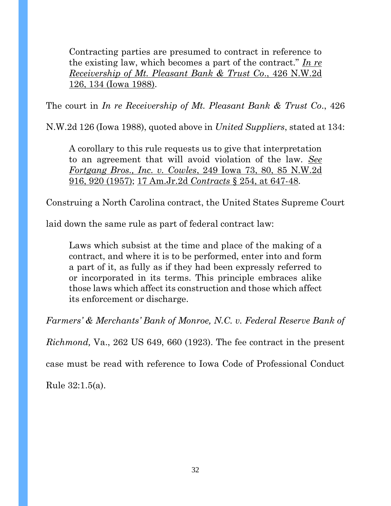Contracting parties are presumed to contract in reference to the existing law, which becomes a part of the contract." *In re Receivership of Mt. Pleasant Bank & Trust Co*., 426 N.W.2d 126, 134 (Iowa 1988).

The court in *In re Receivership of Mt. Pleasant Bank & Trust Co*., 426

N.W.2d 126 (Iowa 1988), quoted above in *United Suppliers*, stated at 134:

A corollary to this rule requests us to give that interpretation to an agreement that will avoid violation of the law. *See Fortgang Bros., Inc. v. Cowles*, 249 Iowa 73, 80, 85 N.W.2d 916, 920 (1957); 17 Am.Jr.2d *Contracts* § 254, at 647-48.

Construing a North Carolina contract, the United States Supreme Court

laid down the same rule as part of federal contract law:

Laws which subsist at the time and place of the making of a contract, and where it is to be performed, enter into and form a part of it, as fully as if they had been expressly referred to or incorporated in its terms. This principle embraces alike those laws which affect its construction and those which affect its enforcement or discharge.

*Farmers' & Merchants' Bank of Monroe, N.C. v. Federal Reserve Bank of* 

*Richmond,* Va., 262 US 649, 660 (1923). The fee contract in the present

case must be read with reference to Iowa Code of Professional Conduct

Rule 32:1.5(a).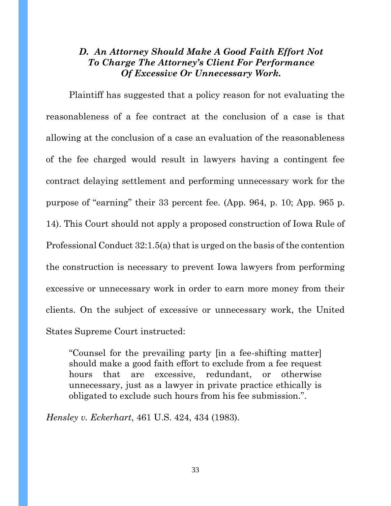### *D. An Attorney Should Make A Good Faith Effort Not To Charge The Attorney's Client For Performance Of Excessive Or Unnecessary Work.*

Plaintiff has suggested that a policy reason for not evaluating the reasonableness of a fee contract at the conclusion of a case is that allowing at the conclusion of a case an evaluation of the reasonableness of the fee charged would result in lawyers having a contingent fee contract delaying settlement and performing unnecessary work for the purpose of "earning" their 33 percent fee. (App. 964, p. 10; App. 965 p. 14). This Court should not apply a proposed construction of Iowa Rule of Professional Conduct 32:1.5(a) that is urged on the basis of the contention the construction is necessary to prevent Iowa lawyers from performing excessive or unnecessary work in order to earn more money from their clients. On the subject of excessive or unnecessary work, the United States Supreme Court instructed:

"Counsel for the prevailing party [in a fee-shifting matter] should make a good faith effort to exclude from a fee request hours that are excessive, redundant, or otherwise unnecessary, just as a lawyer in private practice ethically is obligated to exclude such hours from his fee submission.".

*Hensley v. Eckerhart*, 461 U.S. 424, 434 (1983).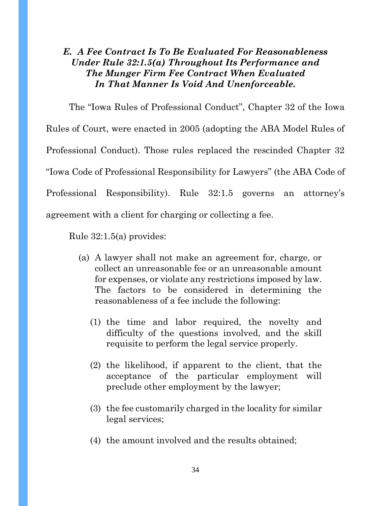# *E. A Fee Contract Is To Be Evaluated For Reasonableness Under Rule 32:1.5(a) Throughout Its Performance and The Munger Firm Fee Contract When Evaluated In That Manner Is Void And Unenforceable.*

The "Iowa Rules of Professional Conduct", Chapter 32 of the Iowa Rules of Court, were enacted in 2005 (adopting the ABA Model Rules of Professional Conduct). Those rules replaced the rescinded Chapter 32 "Iowa Code of Professional Responsibility for Lawyers" (the ABA Code of Professional Responsibility). Rule 32:1.5 governs an attorney's agreement with a client for charging or collecting a fee.

Rule 32:1.5(a) provides:

- (a) A lawyer shall not make an agreement for, charge, or collect an unreasonable fee or an unreasonable amount for expenses, or violate any restrictions imposed by law. The factors to be considered in determining the reasonableness of a fee include the following:
	- (1) the time and labor required, the novelty and difficulty of the questions involved, and the skill requisite to perform the legal service properly.
	- (2) the likelihood, if apparent to the client, that the acceptance of the particular employment will preclude other employment by the lawyer;
	- (3) the fee customarily charged in the locality for similar legal services;
	- (4) the amount involved and the results obtained;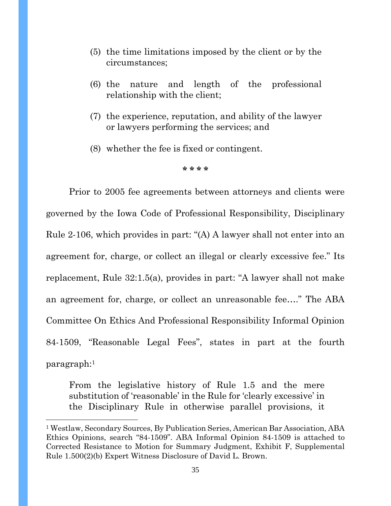- (5) the time limitations imposed by the client or by the circumstances;
- (6) the nature and length of the professional relationship with the client;
- (7) the experience, reputation, and ability of the lawyer or lawyers performing the services; and
- (8) whether the fee is fixed or contingent.

**\* \* \* \***

Prior to 2005 fee agreements between attorneys and clients were governed by the Iowa Code of Professional Responsibility, Disciplinary Rule 2-106, which provides in part: "(A) A lawyer shall not enter into an agreement for, charge, or collect an illegal or clearly excessive fee." Its replacement, Rule 32:1.5(a), provides in part: "A lawyer shall not make an agreement for, charge, or collect an unreasonable fee…." The ABA Committee On Ethics And Professional Responsibility Informal Opinion 84-1509, "Reasonable Legal Fees", states in part at the fourth paragraph:<sup>1</sup>

From the legislative history of Rule 1.5 and the mere substitution of 'reasonable' in the Rule for 'clearly excessive' in the Disciplinary Rule in otherwise parallel provisions, it

<sup>1</sup> Westlaw, Secondary Sources, By Publication Series, American Bar Association, ABA Ethics Opinions, search "84-1509". ABA Informal Opinion 84-1509 is attached to Corrected Resistance to Motion for Summary Judgment, Exhibit F, Supplemental Rule 1.500(2)(b) Expert Witness Disclosure of David L. Brown.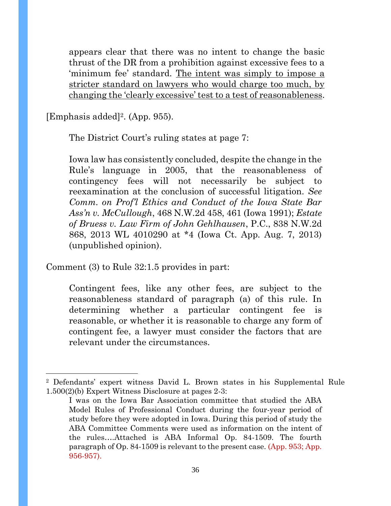appears clear that there was no intent to change the basic thrust of the DR from a prohibition against excessive fees to a 'minimum fee' standard. The intent was simply to impose a stricter standard on lawyers who would charge too much, by changing the 'clearly excessive' test to a test of reasonableness.

[Emphasis added]2. (App. 955).

The District Court's ruling states at page 7:

Iowa law has consistently concluded, despite the change in the Rule's language in 2005, that the reasonableness of contingency fees will not necessarily be subject to reexamination at the conclusion of successful litigation. *See Comm. on Prof'l Ethics and Conduct of the Iowa State Bar Ass'n v. McCullough*, 468 N.W.2d 458, 461 (Iowa 1991); *Estate of Bruess v. Law Firm of John Gehlhausen*, P.C., 838 N.W.2d 868, 2013 WL 4010290 at \*4 (Iowa Ct. App. Aug. 7, 2013) (unpublished opinion).

Comment (3) to Rule 32:1.5 provides in part:

Contingent fees, like any other fees, are subject to the reasonableness standard of paragraph (a) of this rule. In determining whether a particular contingent fee is reasonable, or whether it is reasonable to charge any form of contingent fee, a lawyer must consider the factors that are relevant under the circumstances.

<sup>2</sup> Defendants' expert witness David L. Brown states in his Supplemental Rule 1.500(2)(b) Expert Witness Disclosure at pages 2-3:

I was on the Iowa Bar Association committee that studied the ABA Model Rules of Professional Conduct during the four-year period of study before they were adopted in Iowa. During this period of study the ABA Committee Comments were used as information on the intent of the rules….Attached is ABA Informal Op. 84-1509. The fourth paragraph of Op. 84-1509 is relevant to the present case. (App. 953; App. 956-957).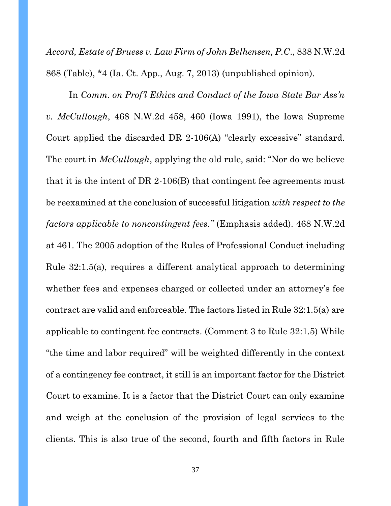*Accord, Estate of Bruess v. Law Firm of John Belhensen, P.C*., 838 N.W.2d 868 (Table), \*4 (Ia. Ct. App., Aug. 7, 2013) (unpublished opinion).

In *Comm. on Prof'l Ethics and Conduct of the Iowa State Bar Ass'n v. McCullough*, 468 N.W.2d 458, 460 (Iowa 1991), the Iowa Supreme Court applied the discarded DR 2-106(A) "clearly excessive" standard. The court in *McCullough*, applying the old rule, said: "Nor do we believe that it is the intent of DR 2-106(B) that contingent fee agreements must be reexamined at the conclusion of successful litigation *with respect to the factors applicable to noncontingent fees."* (Emphasis added). 468 N.W.2d at 461. The 2005 adoption of the Rules of Professional Conduct including Rule 32:1.5(a), requires a different analytical approach to determining whether fees and expenses charged or collected under an attorney's fee contract are valid and enforceable. The factors listed in Rule 32:1.5(a) are applicable to contingent fee contracts. (Comment 3 to Rule 32:1.5) While "the time and labor required" will be weighted differently in the context of a contingency fee contract, it still is an important factor for the District Court to examine. It is a factor that the District Court can only examine and weigh at the conclusion of the provision of legal services to the clients. This is also true of the second, fourth and fifth factors in Rule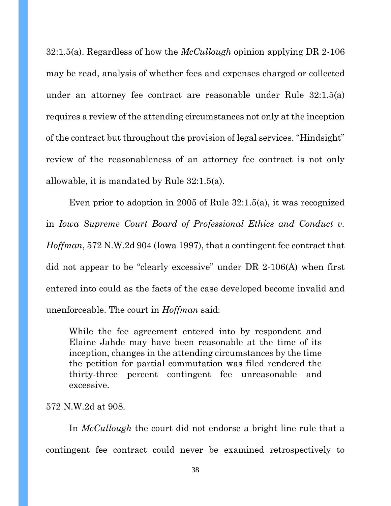32:1.5(a). Regardless of how the *McCullough* opinion applying DR 2-106 may be read, analysis of whether fees and expenses charged or collected under an attorney fee contract are reasonable under Rule 32:1.5(a) requires a review of the attending circumstances not only at the inception of the contract but throughout the provision of legal services. "Hindsight" review of the reasonableness of an attorney fee contract is not only allowable, it is mandated by Rule 32:1.5(a).

Even prior to adoption in 2005 of Rule 32:1.5(a), it was recognized in *Iowa Supreme Court Board of Professional Ethics and Conduct v. Hoffman*, 572 N.W.2d 904 (Iowa 1997), that a contingent fee contract that did not appear to be "clearly excessive" under DR 2-106(A) when first entered into could as the facts of the case developed become invalid and unenforceable. The court in *Hoffman* said:

While the fee agreement entered into by respondent and Elaine Jahde may have been reasonable at the time of its inception, changes in the attending circumstances by the time the petition for partial commutation was filed rendered the thirty-three percent contingent fee unreasonable and excessive.

#### 572 N.W.2d at 908.

In *McCullough* the court did not endorse a bright line rule that a contingent fee contract could never be examined retrospectively to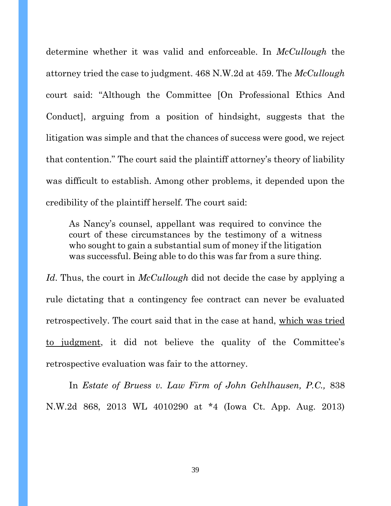determine whether it was valid and enforceable. In *McCullough* the attorney tried the case to judgment. 468 N.W.2d at 459. The *McCullough* court said: "Although the Committee [On Professional Ethics And Conduct], arguing from a position of hindsight, suggests that the litigation was simple and that the chances of success were good, we reject that contention." The court said the plaintiff attorney's theory of liability was difficult to establish. Among other problems, it depended upon the credibility of the plaintiff herself. The court said:

As Nancy's counsel, appellant was required to convince the court of these circumstances by the testimony of a witness who sought to gain a substantial sum of money if the litigation was successful. Being able to do this was far from a sure thing.

*Id*. Thus, the court in *McCullough* did not decide the case by applying a rule dictating that a contingency fee contract can never be evaluated retrospectively. The court said that in the case at hand, which was tried to judgment, it did not believe the quality of the Committee's retrospective evaluation was fair to the attorney.

In *Estate of Bruess v. Law Firm of John Gehlhausen, P.C.,* 838 N.W.2d 868, 2013 WL 4010290 at \*4 (Iowa Ct. App. Aug. 2013)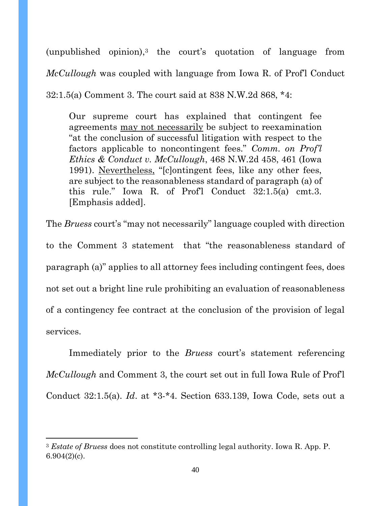(unpublished opinion),<sup>3</sup> the court's quotation of language from *McCullough* was coupled with language from Iowa R. of Prof'l Conduct 32:1.5(a) Comment 3. The court said at 838 N.W.2d 868, \*4:

Our supreme court has explained that contingent fee agreements may not necessarily be subject to reexamination "at the conclusion of successful litigation with respect to the factors applicable to noncontingent fees." *Comm. on Prof'l Ethics & Conduct v. McCullough*, 468 N.W.2d 458, 461 (Iowa 1991). Nevertheless, "[c]ontingent fees, like any other fees, are subject to the reasonableness standard of paragraph (a) of this rule." Iowa R. of Prof'l Conduct 32:1.5(a) cmt.3. [Emphasis added].

The *Bruess* court's "may not necessarily" language coupled with direction to the Comment 3 statement that "the reasonableness standard of paragraph (a)" applies to all attorney fees including contingent fees, does not set out a bright line rule prohibiting an evaluation of reasonableness of a contingency fee contract at the conclusion of the provision of legal services.

Immediately prior to the *Bruess* court's statement referencing *McCullough* and Comment 3, the court set out in full Iowa Rule of Prof'l Conduct 32:1.5(a). *Id*. at \*3-\*4. Section 633.139, Iowa Code, sets out a

<sup>3</sup> *Estate of Bruess* does not constitute controlling legal authority. Iowa R. App. P. 6.904(2)(c).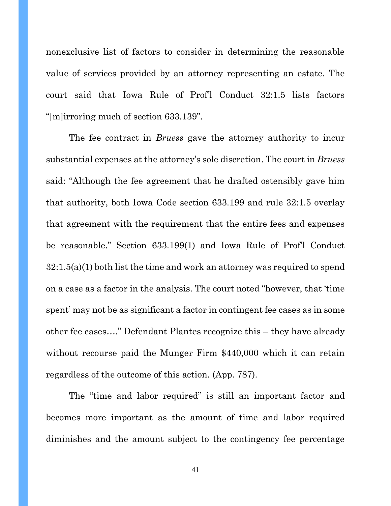nonexclusive list of factors to consider in determining the reasonable value of services provided by an attorney representing an estate. The court said that Iowa Rule of Prof'l Conduct 32:1.5 lists factors "[m]irroring much of section 633.139".

The fee contract in *Bruess* gave the attorney authority to incur substantial expenses at the attorney's sole discretion. The court in *Bruess* said: "Although the fee agreement that he drafted ostensibly gave him that authority, both Iowa Code section 633.199 and rule 32:1.5 overlay that agreement with the requirement that the entire fees and expenses be reasonable." Section 633.199(1) and Iowa Rule of Prof'l Conduct 32:1.5(a)(1) both list the time and work an attorney was required to spend on a case as a factor in the analysis. The court noted "however, that 'time spent' may not be as significant a factor in contingent fee cases as in some other fee cases…." Defendant Plantes recognize this – they have already without recourse paid the Munger Firm \$440,000 which it can retain regardless of the outcome of this action. (App. 787).

The "time and labor required" is still an important factor and becomes more important as the amount of time and labor required diminishes and the amount subject to the contingency fee percentage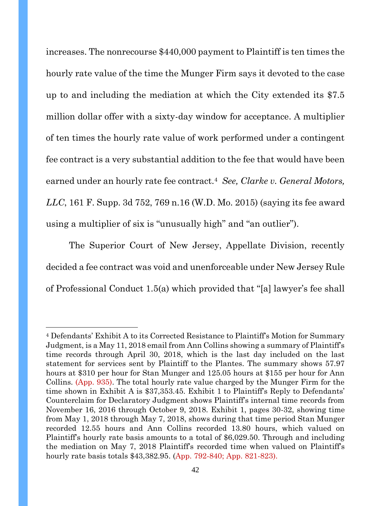increases. The nonrecourse \$440,000 payment to Plaintiff is ten times the hourly rate value of the time the Munger Firm says it devoted to the case up to and including the mediation at which the City extended its \$7.5 million dollar offer with a sixty-day window for acceptance. A multiplier of ten times the hourly rate value of work performed under a contingent fee contract is a very substantial addition to the fee that would have been earned under an hourly rate fee contract.<sup>4</sup> *See, Clarke v. General Motors, LLC*, 161 F. Supp. 3d 752, 769 n.16 (W.D. Mo. 2015) (saying its fee award using a multiplier of six is "unusually high" and "an outlier").

The Superior Court of New Jersey, Appellate Division, recently decided a fee contract was void and unenforceable under New Jersey Rule of Professional Conduct 1.5(a) which provided that "[a] lawyer's fee shall

<sup>4</sup> Defendants' Exhibit A to its Corrected Resistance to Plaintiff's Motion for Summary Judgment, is a May 11, 2018 email from Ann Collins showing a summary of Plaintiff's time records through April 30, 2018, which is the last day included on the last statement for services sent by Plaintiff to the Plantes. The summary shows 57.97 hours at \$310 per hour for Stan Munger and 125.05 hours at \$155 per hour for Ann Collins. (App. 935). The total hourly rate value charged by the Munger Firm for the time shown in Exhibit A is \$37,353.45. Exhibit 1 to Plaintiff's Reply to Defendants' Counterclaim for Declaratory Judgment shows Plaintiff's internal time records from November 16, 2016 through October 9, 2018. Exhibit 1, pages 30-32, showing time from May 1, 2018 through May 7, 2018, shows during that time period Stan Munger recorded 12.55 hours and Ann Collins recorded 13.80 hours, which valued on Plaintiff's hourly rate basis amounts to a total of \$6,029.50. Through and including the mediation on May 7, 2018 Plaintiff's recorded time when valued on Plaintiff's hourly rate basis totals \$43,382.95. (App. 792-840; App. 821-823).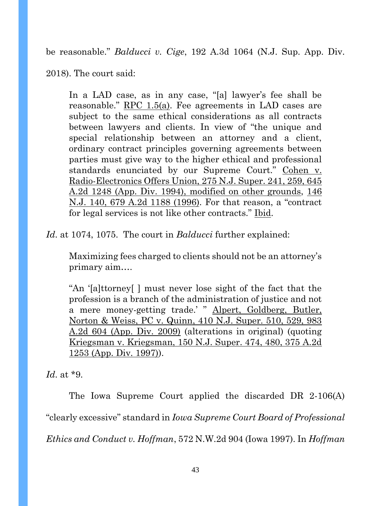be reasonable." *Balducci v. Cige*, 192 A.3d 1064 (N.J. Sup. App. Div.

2018). The court said:

In a LAD case, as in any case, "[a] lawyer's fee shall be reasonable." RPC 1.5(a). Fee agreements in LAD cases are subject to the same ethical considerations as all contracts between lawyers and clients. In view of "the unique and special relationship between an attorney and a client, ordinary contract principles governing agreements between parties must give way to the higher ethical and professional standards enunciated by our Supreme Court." Cohen v. Radio-Electronics Offers Union, 275 N.J. Super. 241, 259, 645 A.2d 1248 (App. Div. 1994), modified on other grounds, 146 N.J. 140, 679 A.2d 1188 (1996). For that reason, a "contract for legal services is not like other contracts." Ibid.

*Id*. at 1074, 1075. The court in *Balducci* further explained:

Maximizing fees charged to clients should not be an attorney's primary aim….

"An '[a]ttorney[ ] must never lose sight of the fact that the profession is a branch of the administration of justice and not a mere money-getting trade.' " Alpert, Goldberg, Butler, Norton & Weiss, PC v. Quinn, 410 N.J. Super. 510, 529, 983 A.2d 604 (App. Div. 2009) (alterations in original) (quoting Kriegsman v. Kriegsman, 150 N.J. Super. 474, 480, 375 A.2d 1253 (App. Div. 1997)).

*Id*. at \*9.

The Iowa Supreme Court applied the discarded DR 2-106(A) "clearly excessive" standard in *Iowa Supreme Court Board of Professional Ethics and Conduct v. Hoffman*, 572 N.W.2d 904 (Iowa 1997). In *Hoffman*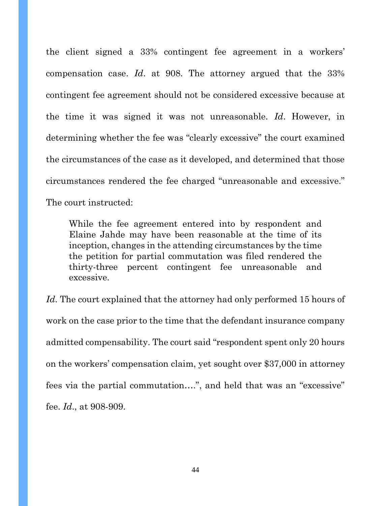the client signed a 33% contingent fee agreement in a workers' compensation case. *Id*. at 908. The attorney argued that the 33% contingent fee agreement should not be considered excessive because at the time it was signed it was not unreasonable. *Id*. However, in determining whether the fee was "clearly excessive" the court examined the circumstances of the case as it developed, and determined that those circumstances rendered the fee charged "unreasonable and excessive." The court instructed:

While the fee agreement entered into by respondent and Elaine Jahde may have been reasonable at the time of its inception, changes in the attending circumstances by the time the petition for partial commutation was filed rendered the thirty-three percent contingent fee unreasonable and excessive.

*Id*. The court explained that the attorney had only performed 15 hours of work on the case prior to the time that the defendant insurance company admitted compensability. The court said "respondent spent only 20 hours on the workers' compensation claim, yet sought over \$37,000 in attorney fees via the partial commutation….", and held that was an "excessive" fee. *Id*., at 908-909.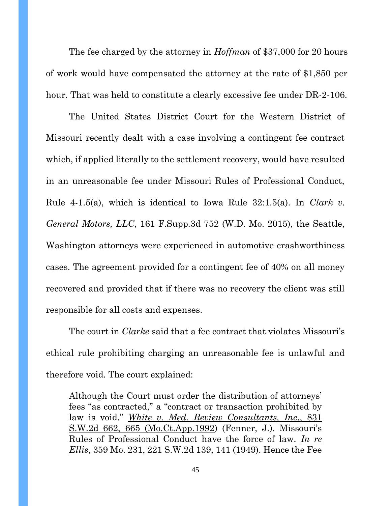The fee charged by the attorney in *Hoffman* of \$37,000 for 20 hours of work would have compensated the attorney at the rate of \$1,850 per hour. That was held to constitute a clearly excessive fee under DR-2-106.

The United States District Court for the Western District of Missouri recently dealt with a case involving a contingent fee contract which, if applied literally to the settlement recovery, would have resulted in an unreasonable fee under Missouri Rules of Professional Conduct, Rule 4-1.5(a), which is identical to Iowa Rule 32:1.5(a). In *Clark v. General Motors, LLC*, 161 F.Supp.3d 752 (W.D. Mo. 2015), the Seattle, Washington attorneys were experienced in automotive crashworthiness cases. The agreement provided for a contingent fee of 40% on all money recovered and provided that if there was no recovery the client was still responsible for all costs and expenses.

The court in *Clarke* said that a fee contract that violates Missouri's ethical rule prohibiting charging an unreasonable fee is unlawful and therefore void. The court explained:

Although the Court must order the distribution of attorneys' fees "as contracted," a "contract or transaction prohibited by law is void." *White v. Med. Review Consultants, Inc*., 831 S.W.2d 662, 665 (Mo.Ct.App.1992) (Fenner, J.). Missouri's Rules of Professional Conduct have the force of law. *In re Ellis*, 359 Mo. 231, 221 S.W.2d 139, 141 (1949). Hence the Fee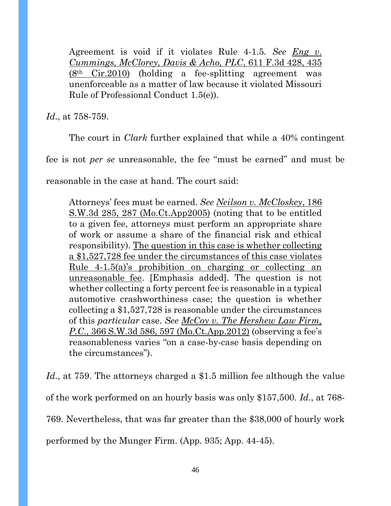Agreement is void if it violates Rule 4-1.5. *See Eng v. Cummings, McClorey, Davis & Acho, PLC*, 611 F.3d 428, 435  $(8<sup>th</sup> Cir.2010)$  (holding a fee-splitting agreement was unenforceable as a matter of law because it violated Missouri Rule of Professional Conduct 1.5(e)).

*Id*., at 758-759.

The court in *Clark* further explained that while a 40% contingent

fee is not *per se* unreasonable, the fee "must be earned" and must be

reasonable in the case at hand. The court said:

Attorneys' fees must be earned. *See Neilson v. McCloskey*, 186 S.W.3d 285, 287 (Mo.Ct.App2005) (noting that to be entitled to a given fee, attorneys must perform an appropriate share of work or assume a share of the financial risk and ethical responsibility). The question in this case is whether collecting a \$1,527,728 fee under the circumstances of this case violates Rule 4-1.5(a)'s prohibition on charging or collecting an unreasonable fee. [Emphasis added]. The question is not whether collecting a forty percent fee is reasonable in a typical automotive crashworthiness case; the question is whether collecting a \$1,527,728 is reasonable under the circumstances of this *particular* case. *See McCoy v. The Hershew Law Firm, P.C*., 366 S.W.3d 586, 597 (Mo.Ct.App.2012) (observing a fee's reasonableness varies "on a case-by-case basis depending on the circumstances").

*Id.*, at 759. The attorneys charged a \$1.5 million fee although the value of the work performed on an hourly basis was only \$157,500. *Id*., at 768- 769. Nevertheless, that was far greater than the \$38,000 of hourly work performed by the Munger Firm. (App. 935; App. 44-45).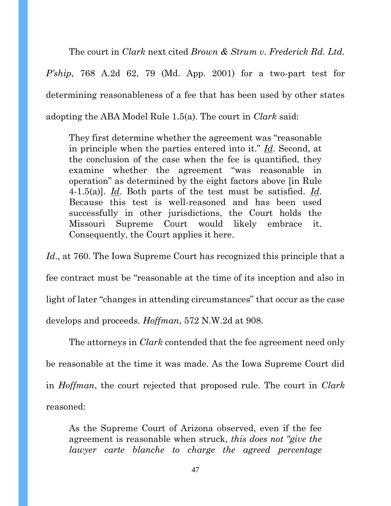The court in *Clark* next cited *Brown & Strum v. Frederick Rd. Ltd. P'ship*, 768 A.2d 62, 79 (Md. App. 2001) for a two-part test for determining reasonableness of a fee that has been used by other states adopting the ABA Model Rule 1.5(a). The court in *Clark* said:

They first determine whether the agreement was "reasonable in principle when the parties entered into it." *Id*. Second, at the conclusion of the case when the fee is quantified, they examine whether the agreement "was reasonable in operation" as determined by the eight factors above [in Rule 4-1.5(a)]. *Id*. Both parts of the test must be satisfied. *Id*. Because this test is well-reasoned and has been used successfully in other jurisdictions, the Court holds the Missouri Supreme Court would likely embrace it. Consequently, the Court applies it here.

Id., at 760. The Iowa Supreme Court has recognized this principle that a fee contract must be "reasonable at the time of its inception and also in light of later "changes in attending circumstances" that occur as the case develops and proceeds. *Hoffman*, 572 N.W.2d at 908.

The attorneys in *Clark* contended that the fee agreement need only be reasonable at the time it was made. As the Iowa Supreme Court did in *Hoffman*, the court rejected that proposed rule. The court in *Clark* reasoned:

As the Supreme Court of Arizona observed, even if the fee agreement is reasonable when struck, *this does not "give the lawyer carte blanche to charge the agreed percentage*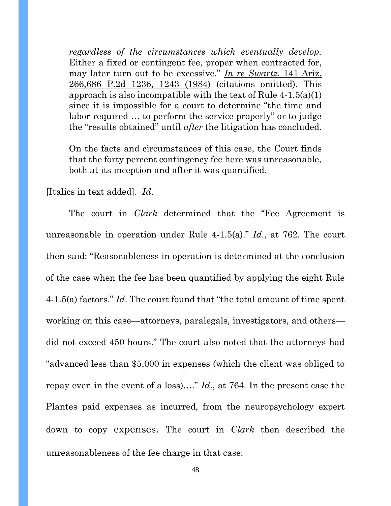*regardless of the circumstances which eventually develop.* Either a fixed or contingent fee, proper when contracted for, may later turn out to be excessive." *In re Swartz*, 141 Ariz. 266,686 P.2d 1236, 1243 (1984) (citations omitted). This approach is also incompatible with the text of Rule  $4-1.5(a)(1)$ since it is impossible for a court to determine "the time and labor required … to perform the service properly" or to judge the "results obtained" until *after* the litigation has concluded.

On the facts and circumstances of this case, the Court finds that the forty percent contingency fee here was unreasonable, both at its inception and after it was quantified.

[Italics in text added]. *Id*.

The court in *Clark* determined that the "Fee Agreement is unreasonable in operation under Rule 4-1.5(a)." *Id*., at 762. The court then said: "Reasonableness in operation is determined at the conclusion of the case when the fee has been quantified by applying the eight Rule 4-1.5(a) factors." *Id*. The court found that "the total amount of time spent working on this case—attorneys, paralegals, investigators, and others did not exceed 450 hours." The court also noted that the attorneys had "advanced less than \$5,000 in expenses (which the client was obliged to repay even in the event of a loss)…." *Id*., at 764. In the present case the Plantes paid expenses as incurred, from the neuropsychology expert down to copy expenses. The court in *Clark* then described the unreasonableness of the fee charge in that case: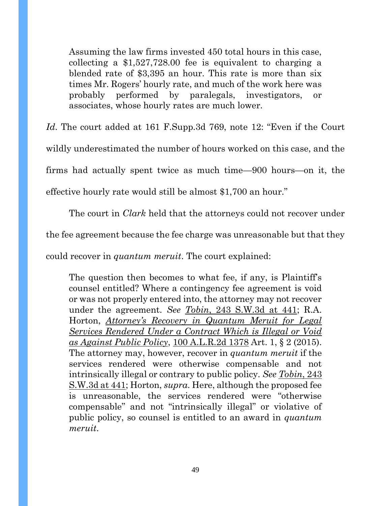Assuming the law firms invested 450 total hours in this case, collecting a \$1,527,728.00 fee is equivalent to charging a blended rate of \$3,395 an hour. This rate is more than six times Mr. Rogers' hourly rate, and much of the work here was probably performed by paralegals, investigators, or associates, whose hourly rates are much lower.

*Id*. The court added at 161 F.Supp.3d 769, note 12: "Even if the Court wildly underestimated the number of hours worked on this case, and the firms had actually spent twice as much time—900 hours—on it, the effective hourly rate would still be almost \$1,700 an hour."

The court in *Clark* held that the attorneys could not recover under

the fee agreement because the fee charge was unreasonable but that they

could recover in *quantum meruit*. The court explained:

The question then becomes to what fee, if any, is Plaintiff's counsel entitled? Where a contingency fee agreement is void or was not properly entered into, the attorney may not recover under the agreement. *See Tobin*, 243 S.W.3d at 441; R.A. Horton, *Attorney's Recovery in Quantum Meruit for Legal Services Rendered Under a Contract Which is Illegal or Void as Against Public Policy*, 100 A.L.R.2d 1378 Art. 1, § 2 (2015). The attorney may, however, recover in *quantum meruit* if the services rendered were otherwise compensable and not intrinsically illegal or contrary to public policy. *See Tobin*, 243 S.W.3d at 441; Horton, *supra*. Here, although the proposed fee is unreasonable, the services rendered were "otherwise compensable" and not "intrinsically illegal" or violative of public policy, so counsel is entitled to an award in *quantum meruit*.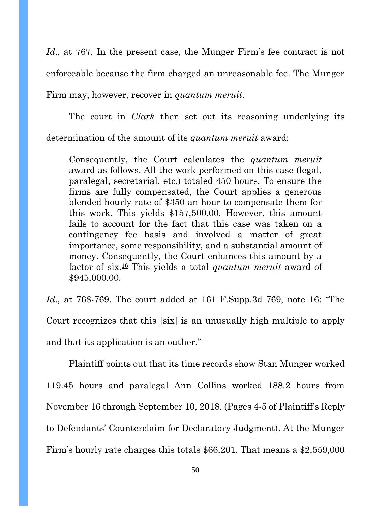*Id*., at 767. In the present case, the Munger Firm's fee contract is not enforceable because the firm charged an unreasonable fee. The Munger Firm may, however, recover in *quantum meruit*.

The court in *Clark* then set out its reasoning underlying its determination of the amount of its *quantum meruit* award:

Consequently, the Court calculates the *quantum meruit* award as follows. All the work performed on this case (legal, paralegal, secretarial, etc.) totaled 450 hours. To ensure the firms are fully compensated, the Court applies a generous blended hourly rate of \$350 an hour to compensate them for this work. This yields \$157,500.00. However, this amount fails to account for the fact that this case was taken on a contingency fee basis and involved a matter of great importance, some responsibility, and a substantial amount of money. Consequently, the Court enhances this amount by a factor of six.<sup>16</sup> This yields a total *quantum meruit* award of \$945,000.00.

*Id*., at 768-769. The court added at 161 F.Supp.3d 769, note 16: "The Court recognizes that this [six] is an unusually high multiple to apply and that its application is an outlier."

Plaintiff points out that its time records show Stan Munger worked 119.45 hours and paralegal Ann Collins worked 188.2 hours from November 16 through September 10, 2018. (Pages 4-5 of Plaintiff's Reply to Defendants' Counterclaim for Declaratory Judgment). At the Munger Firm's hourly rate charges this totals \$66,201. That means a \$2,559,000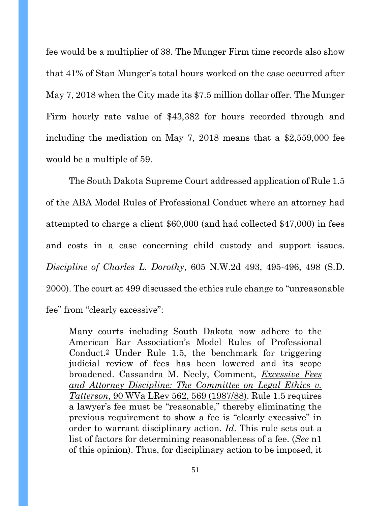fee would be a multiplier of 38. The Munger Firm time records also show that 41% of Stan Munger's total hours worked on the case occurred after May 7, 2018 when the City made its \$7.5 million dollar offer. The Munger Firm hourly rate value of \$43,382 for hours recorded through and including the mediation on May 7, 2018 means that a \$2,559,000 fee would be a multiple of 59.

The South Dakota Supreme Court addressed application of Rule 1.5 of the ABA Model Rules of Professional Conduct where an attorney had attempted to charge a client \$60,000 (and had collected \$47,000) in fees and costs in a case concerning child custody and support issues. *Discipline of Charles L. Dorothy*, 605 N.W.2d 493, 495-496, 498 (S.D. 2000). The court at 499 discussed the ethics rule change to "unreasonable fee" from "clearly excessive":

Many courts including South Dakota now adhere to the American Bar Association's Model Rules of Professional Conduct.<sup>2</sup> Under Rule 1.5, the benchmark for triggering judicial review of fees has been lowered and its scope broadened. Cassandra M. Neely, Comment, *Excessive Fees and Attorney Discipline: The Committee on Legal Ethics v. Tatterson*, 90 WVa LRev 562, 569 (1987/88). Rule 1.5 requires a lawyer's fee must be "reasonable," thereby eliminating the previous requirement to show a fee is "clearly excessive" in order to warrant disciplinary action. *Id*. This rule sets out a list of factors for determining reasonableness of a fee. (*See* n1 of this opinion). Thus, for disciplinary action to be imposed, it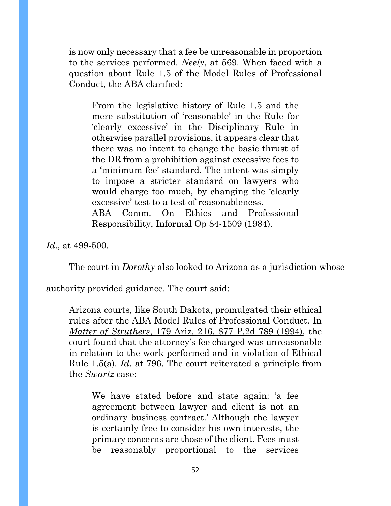is now only necessary that a fee be unreasonable in proportion to the services performed. *Neely*, at 569. When faced with a question about Rule 1.5 of the Model Rules of Professional Conduct, the ABA clarified:

From the legislative history of Rule 1.5 and the mere substitution of 'reasonable' in the Rule for 'clearly excessive' in the Disciplinary Rule in otherwise parallel provisions, it appears clear that there was no intent to change the basic thrust of the DR from a prohibition against excessive fees to a 'minimum fee' standard. The intent was simply to impose a stricter standard on lawyers who would charge too much, by changing the 'clearly excessive' test to a test of reasonableness. ABA Comm. On Ethics and Professional Responsibility, Informal Op 84-1509 (1984).

*Id*., at 499-500.

The court in *Dorothy* also looked to Arizona as a jurisdiction whose

authority provided guidance. The court said:

Arizona courts, like South Dakota, promulgated their ethical rules after the ABA Model Rules of Professional Conduct. In *Matter of Struthers*, 179 Ariz. 216, 877 P.2d 789 (1994), the court found that the attorney's fee charged was unreasonable in relation to the work performed and in violation of Ethical Rule 1.5(a). *Id*. at 796. The court reiterated a principle from the *Swartz* case:

We have stated before and state again: 'a fee agreement between lawyer and client is not an ordinary business contract.' Although the lawyer is certainly free to consider his own interests, the primary concerns are those of the client. Fees must be reasonably proportional to the services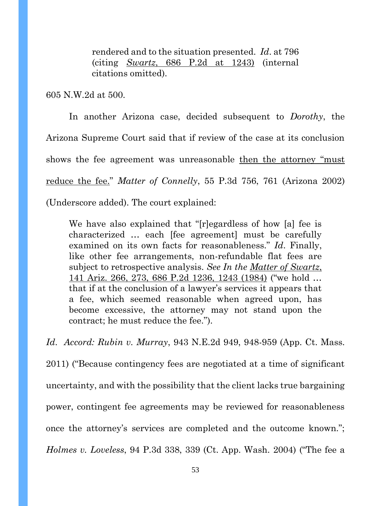rendered and to the situation presented. *Id*. at 796 (citing *Swartz*, 686 P.2d at 1243) (internal citations omitted).

605 N.W.2d at 500.

In another Arizona case, decided subsequent to *Dorothy*, the Arizona Supreme Court said that if review of the case at its conclusion shows the fee agreement was unreasonable then the attorney "must reduce the fee." *Matter of Connelly*, 55 P.3d 756, 761 (Arizona 2002) (Underscore added). The court explained:

We have also explained that "[r]egardless of how [a] fee is characterized … each [fee agreement] must be carefully examined on its own facts for reasonableness." *Id*. Finally, like other fee arrangements, non-refundable flat fees are subject to retrospective analysis. *See In the Matter of Swartz*, 141 Ariz. 266, 273, 686 P.2d 1236, 1243 (1984) ("we hold … that if at the conclusion of a lawyer's services it appears that a fee, which seemed reasonable when agreed upon, has become excessive, the attorney may not stand upon the contract; he must reduce the fee.").

*Id*. *Accord: Rubin v. Murray*, 943 N.E.2d 949, 948-959 (App. Ct. Mass. 2011) ("Because contingency fees are negotiated at a time of significant uncertainty, and with the possibility that the client lacks true bargaining power, contingent fee agreements may be reviewed for reasonableness once the attorney's services are completed and the outcome known."; *Holmes v. Loveless*, 94 P.3d 338, 339 (Ct. App. Wash. 2004) ("The fee a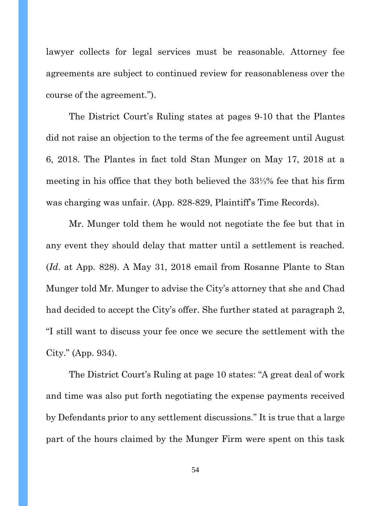lawyer collects for legal services must be reasonable. Attorney fee agreements are subject to continued review for reasonableness over the course of the agreement.").

The District Court's Ruling states at pages 9-10 that the Plantes did not raise an objection to the terms of the fee agreement until August 6, 2018. The Plantes in fact told Stan Munger on May 17, 2018 at a meeting in his office that they both believed the 33⅓% fee that his firm was charging was unfair. (App. 828-829, Plaintiff's Time Records).

Mr. Munger told them he would not negotiate the fee but that in any event they should delay that matter until a settlement is reached. (*Id*. at App. 828). A May 31, 2018 email from Rosanne Plante to Stan Munger told Mr. Munger to advise the City's attorney that she and Chad had decided to accept the City's offer. She further stated at paragraph 2, "I still want to discuss your fee once we secure the settlement with the City." (App. 934).

The District Court's Ruling at page 10 states: "A great deal of work and time was also put forth negotiating the expense payments received by Defendants prior to any settlement discussions." It is true that a large part of the hours claimed by the Munger Firm were spent on this task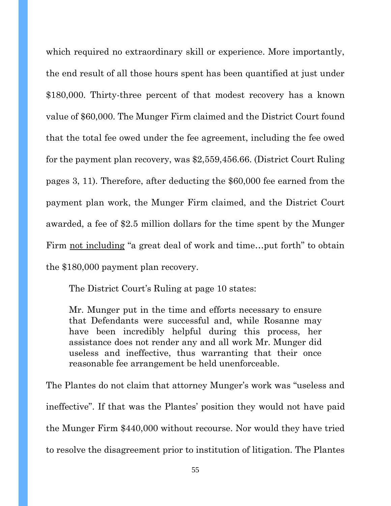which required no extraordinary skill or experience. More importantly, the end result of all those hours spent has been quantified at just under \$180,000. Thirty-three percent of that modest recovery has a known value of \$60,000. The Munger Firm claimed and the District Court found that the total fee owed under the fee agreement, including the fee owed for the payment plan recovery, was \$2,559,456.66. (District Court Ruling pages 3, 11). Therefore, after deducting the \$60,000 fee earned from the payment plan work, the Munger Firm claimed, and the District Court awarded, a fee of \$2.5 million dollars for the time spent by the Munger Firm not including "a great deal of work and time…put forth" to obtain the \$180,000 payment plan recovery.

The District Court's Ruling at page 10 states:

Mr. Munger put in the time and efforts necessary to ensure that Defendants were successful and, while Rosanne may have been incredibly helpful during this process, her assistance does not render any and all work Mr. Munger did useless and ineffective, thus warranting that their once reasonable fee arrangement be held unenforceable.

The Plantes do not claim that attorney Munger's work was "useless and ineffective". If that was the Plantes' position they would not have paid the Munger Firm \$440,000 without recourse. Nor would they have tried to resolve the disagreement prior to institution of litigation. The Plantes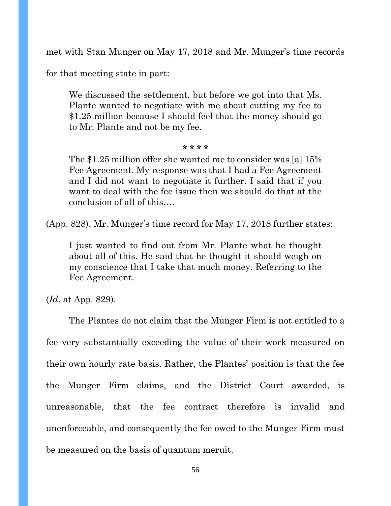met with Stan Munger on May 17, 2018 and Mr. Munger's time records

for that meeting state in part:

We discussed the settlement, but before we got into that Ms. Plante wanted to negotiate with me about cutting my fee to \$1.25 million because I should feel that the money should go to Mr. Plante and not be my fee.

#### **\* \* \* \***

The \$1.25 million offer she wanted me to consider was [a] 15% Fee Agreement. My response was that I had a Fee Agreement and I did not want to negotiate it further. I said that if you want to deal with the fee issue then we should do that at the conclusion of all of this….

(App. 828). Mr. Munger's time record for May 17, 2018 further states:

I just wanted to find out from Mr. Plante what he thought about all of this. He said that he thought it should weigh on my conscience that I take that much money. Referring to the Fee Agreement.

(*Id*. at App. 829).

The Plantes do not claim that the Munger Firm is not entitled to a fee very substantially exceeding the value of their work measured on their own hourly rate basis. Rather, the Plantes' position is that the fee the Munger Firm claims, and the District Court awarded, is unreasonable, that the fee contract therefore is invalid and unenforceable, and consequently the fee owed to the Munger Firm must be measured on the basis of quantum meruit.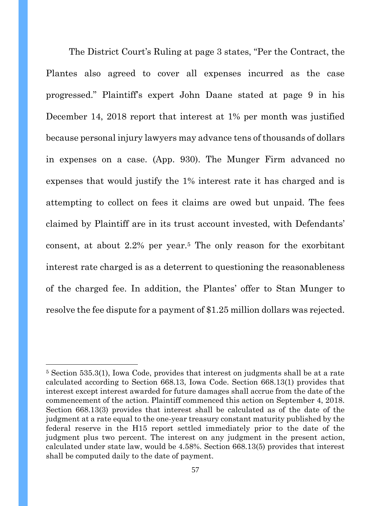The District Court's Ruling at page 3 states, "Per the Contract, the Plantes also agreed to cover all expenses incurred as the case progressed." Plaintiff's expert John Daane stated at page 9 in his December 14, 2018 report that interest at 1% per month was justified because personal injury lawyers may advance tens of thousands of dollars in expenses on a case. (App. 930). The Munger Firm advanced no expenses that would justify the 1% interest rate it has charged and is attempting to collect on fees it claims are owed but unpaid. The fees claimed by Plaintiff are in its trust account invested, with Defendants' consent, at about 2.2% per year.<sup>5</sup> The only reason for the exorbitant interest rate charged is as a deterrent to questioning the reasonableness of the charged fee. In addition, the Plantes' offer to Stan Munger to resolve the fee dispute for a payment of \$1.25 million dollars was rejected.

<sup>5</sup> Section 535.3(1), Iowa Code, provides that interest on judgments shall be at a rate calculated according to Section 668.13, Iowa Code. Section 668.13(1) provides that interest except interest awarded for future damages shall accrue from the date of the commencement of the action. Plaintiff commenced this action on September 4, 2018. Section 668.13(3) provides that interest shall be calculated as of the date of the judgment at a rate equal to the one-year treasury constant maturity published by the federal reserve in the H15 report settled immediately prior to the date of the judgment plus two percent. The interest on any judgment in the present action, calculated under state law, would be 4.58%. Section 668.13(5) provides that interest shall be computed daily to the date of payment.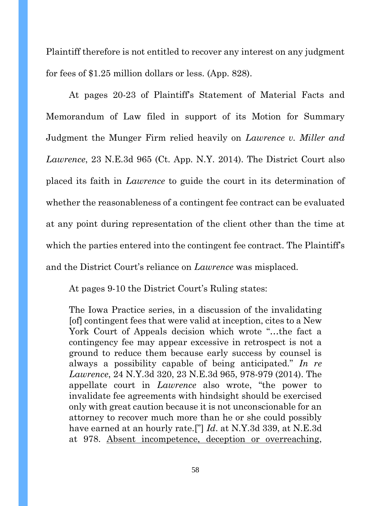Plaintiff therefore is not entitled to recover any interest on any judgment for fees of \$1.25 million dollars or less. (App. 828).

At pages 20-23 of Plaintiff's Statement of Material Facts and Memorandum of Law filed in support of its Motion for Summary Judgment the Munger Firm relied heavily on *Lawrence v. Miller and Lawrence*, 23 N.E.3d 965 (Ct. App. N.Y. 2014). The District Court also placed its faith in *Lawrence* to guide the court in its determination of whether the reasonableness of a contingent fee contract can be evaluated at any point during representation of the client other than the time at which the parties entered into the contingent fee contract. The Plaintiff's and the District Court's reliance on *Lawrence* was misplaced.

At pages 9-10 the District Court's Ruling states:

The Iowa Practice series, in a discussion of the invalidating [of] contingent fees that were valid at inception, cites to a New York Court of Appeals decision which wrote "…the fact a contingency fee may appear excessive in retrospect is not a ground to reduce them because early success by counsel is always a possibility capable of being anticipated." *In re Lawrence*, 24 N.Y.3d 320, 23 N.E.3d 965, 978-979 (2014). The appellate court in *Lawrence* also wrote, "the power to invalidate fee agreements with hindsight should be exercised only with great caution because it is not unconscionable for an attorney to recover much more than he or she could possibly have earned at an hourly rate.["] *Id*. at N.Y.3d 339, at N.E.3d at 978. Absent incompetence, deception or overreaching,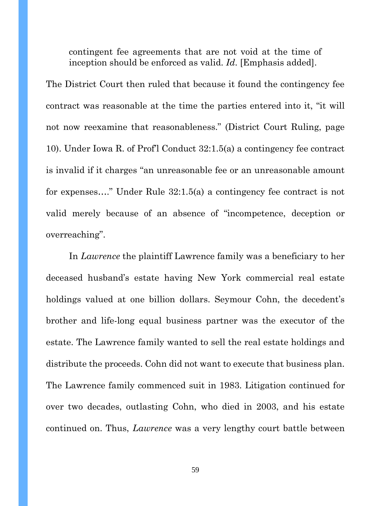contingent fee agreements that are not void at the time of inception should be enforced as valid. *Id*. [Emphasis added].

The District Court then ruled that because it found the contingency fee contract was reasonable at the time the parties entered into it, "it will not now reexamine that reasonableness." (District Court Ruling, page 10). Under Iowa R. of Prof'l Conduct 32:1.5(a) a contingency fee contract is invalid if it charges "an unreasonable fee or an unreasonable amount for expenses…." Under Rule 32:1.5(a) a contingency fee contract is not valid merely because of an absence of "incompetence, deception or overreaching".

In *Lawrence* the plaintiff Lawrence family was a beneficiary to her deceased husband's estate having New York commercial real estate holdings valued at one billion dollars. Seymour Cohn, the decedent's brother and life-long equal business partner was the executor of the estate. The Lawrence family wanted to sell the real estate holdings and distribute the proceeds. Cohn did not want to execute that business plan. The Lawrence family commenced suit in 1983. Litigation continued for over two decades, outlasting Cohn, who died in 2003, and his estate continued on. Thus, *Lawrence* was a very lengthy court battle between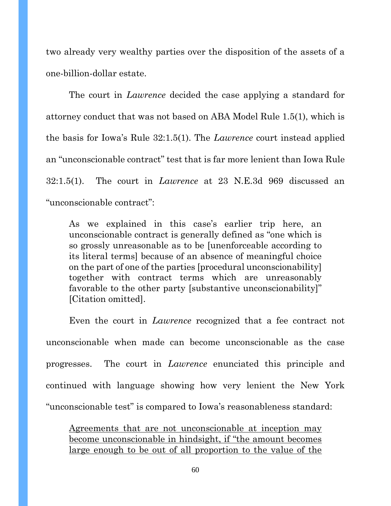two already very wealthy parties over the disposition of the assets of a one-billion-dollar estate.

The court in *Lawrence* decided the case applying a standard for attorney conduct that was not based on ABA Model Rule 1.5(1), which is the basis for Iowa's Rule 32:1.5(1). The *Lawrence* court instead applied an "unconscionable contract" test that is far more lenient than Iowa Rule 32:1.5(1). The court in *Lawrence* at 23 N.E.3d 969 discussed an "unconscionable contract":

As we explained in this case's earlier trip here, an unconscionable contract is generally defined as "one which is so grossly unreasonable as to be [unenforceable according to its literal terms] because of an absence of meaningful choice on the part of one of the parties [procedural unconscionability] together with contract terms which are unreasonably favorable to the other party [substantive unconscionability]" [Citation omitted].

Even the court in *Lawrence* recognized that a fee contract not unconscionable when made can become unconscionable as the case progresses. The court in *Lawrence* enunciated this principle and continued with language showing how very lenient the New York "unconscionable test" is compared to Iowa's reasonableness standard:

Agreements that are not unconscionable at inception may become unconscionable in hindsight, if "the amount becomes large enough to be out of all proportion to the value of the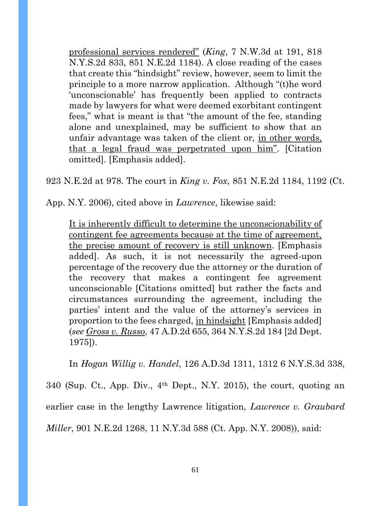professional services rendered" (*King*, 7 N.W.3d at 191, 818 N.Y.S.2d 833, 851 N.E.2d 1184). A close reading of the cases that create this "hindsight" review, however, seem to limit the principle to a more narrow application. Although "(t)he word 'unconscionable' has frequently been applied to contracts made by lawyers for what were deemed exorbitant contingent fees," what is meant is that "the amount of the fee, standing alone and unexplained, may be sufficient to show that an unfair advantage was taken of the client or, in other words, that a legal fraud was perpetrated upon him". [Citation omitted]. [Emphasis added].

923 N.E.2d at 978. The court in *King v. Fox*, 851 N.E.2d 1184, 1192 (Ct.

App. N.Y. 2006), cited above in *Lawrence*, likewise said:

It is inherently difficult to determine the unconscionability of contingent fee agreements because at the time of agreement, the precise amount of recovery is still unknown. [Emphasis added]. As such, it is not necessarily the agreed-upon percentage of the recovery due the attorney or the duration of the recovery that makes a contingent fee agreement unconscionable [Citations omitted] but rather the facts and circumstances surrounding the agreement, including the parties' intent and the value of the attorney's services in proportion to the fees charged, in hindsight [Emphasis added] (*see Gross v. Russo*, 47 A.D.2d 655, 364 N.Y.S.2d 184 [2d Dept. 1975]).

In *Hogan Willig v. Handel*, 126 A.D.3d 1311, 1312 6 N.Y.S.3d 338, 340 (Sup. Ct., App. Div., 4th Dept., N.Y. 2015), the court, quoting an earlier case in the lengthy Lawrence litigation, *Lawrence v. Graubard Miller*, 901 N.E.2d 1268, 11 N.Y.3d 588 (Ct. App. N.Y. 2008)), said: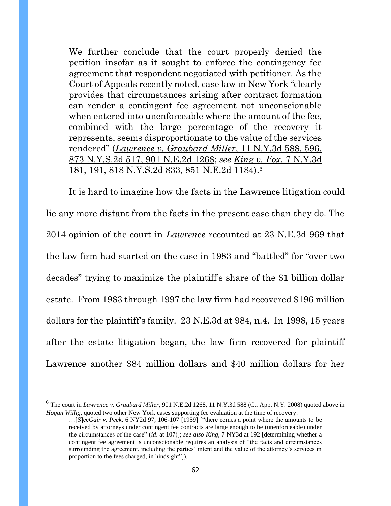We further conclude that the court properly denied the petition insofar as it sought to enforce the contingency fee agreement that respondent negotiated with petitioner. As the Court of Appeals recently noted, case law in New York "clearly provides that circumstances arising after contract formation can render a contingent fee agreement not unconscionable when entered into unenforceable where the amount of the fee, combined with the large percentage of the recovery it represents, seems disproportionate to the value of the services rendered" (*Lawrence v. Graubard Miller*, 11 N.Y.3d 588, 596, 873 N.Y.S.2d 517, 901 N.E.2d 1268; *see King v. Fox*, 7 N.Y.3d 181, 191, 818 N.Y.S.2d 833, 851 N.E.2d 1184). 6

It is hard to imagine how the facts in the Lawrence litigation could lie any more distant from the facts in the present case than they do. The 2014 opinion of the court in *Lawrence* recounted at 23 N.E.3d 969 that the law firm had started on the case in 1983 and "battled" for "over two decades" trying to maximize the plaintiff's share of the \$1 billion dollar estate. From 1983 through 1997 the law firm had recovered \$196 million dollars for the plaintiff's family. 23 N.E.3d at 984, n.4. In 1998, 15 years after the estate litigation began, the law firm recovered for plaintiff Lawrence another \$84 million dollars and \$40 million dollars for her

<sup>6</sup> The court in *Lawrence v. Graubard Miller*, 901 N.E.2d 1268, 11 N.Y.3d 588 (Ct. App. N.Y. 2008) quoted above in *Hogan Willig*, quoted two other New York cases supporting fee evaluation at the time of recovery:

<sup>…[</sup>S]ee*Gair v. Peck*, 6 NY2d 97, 106-107 [1959] ["there comes a point where the amounts to be received by attorneys under contingent fee contracts are large enough to be (unenforceable) under the circumstances of the case" (*id*. at 107)]; *see also King*, 7 NY3d at 192 [determining whether a contingent fee agreement is unconscionable requires an analysis of "the facts and circumstances surrounding the agreement, including the parties' intent and the value of the attorney's services in proportion to the fees charged, in hindsight"]).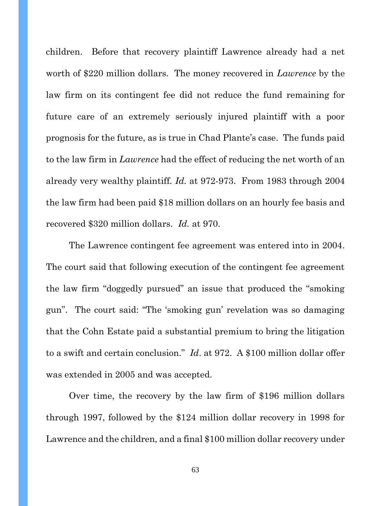children. Before that recovery plaintiff Lawrence already had a net worth of \$220 million dollars. The money recovered in *Lawrence* by the law firm on its contingent fee did not reduce the fund remaining for future care of an extremely seriously injured plaintiff with a poor prognosis for the future, as is true in Chad Plante's case. The funds paid to the law firm in *Lawrence* had the effect of reducing the net worth of an already very wealthy plaintiff*. Id.* at 972-973. From 1983 through 2004 the law firm had been paid \$18 million dollars on an hourly fee basis and recovered \$320 million dollars. *Id.* at 970.

The Lawrence contingent fee agreement was entered into in 2004. The court said that following execution of the contingent fee agreement the law firm "doggedly pursued" an issue that produced the "smoking gun". The court said: "The 'smoking gun' revelation was so damaging that the Cohn Estate paid a substantial premium to bring the litigation to a swift and certain conclusion." *Id*. at 972. A \$100 million dollar offer was extended in 2005 and was accepted.

Over time, the recovery by the law firm of \$196 million dollars through 1997, followed by the \$124 million dollar recovery in 1998 for Lawrence and the children, and a final \$100 million dollar recovery under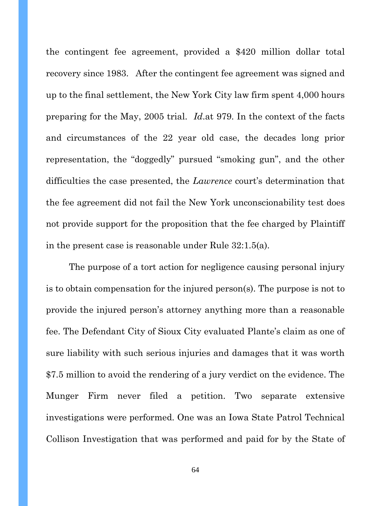the contingent fee agreement, provided a \$420 million dollar total recovery since 1983. After the contingent fee agreement was signed and up to the final settlement, the New York City law firm spent 4,000 hours preparing for the May, 2005 trial. *Id*.at 979. In the context of the facts and circumstances of the 22 year old case, the decades long prior representation, the "doggedly" pursued "smoking gun", and the other difficulties the case presented, the *Lawrence* court's determination that the fee agreement did not fail the New York unconscionability test does not provide support for the proposition that the fee charged by Plaintiff in the present case is reasonable under Rule 32:1.5(a).

The purpose of a tort action for negligence causing personal injury is to obtain compensation for the injured person(s). The purpose is not to provide the injured person's attorney anything more than a reasonable fee. The Defendant City of Sioux City evaluated Plante's claim as one of sure liability with such serious injuries and damages that it was worth \$7.5 million to avoid the rendering of a jury verdict on the evidence. The Munger Firm never filed a petition. Two separate extensive investigations were performed. One was an Iowa State Patrol Technical Collison Investigation that was performed and paid for by the State of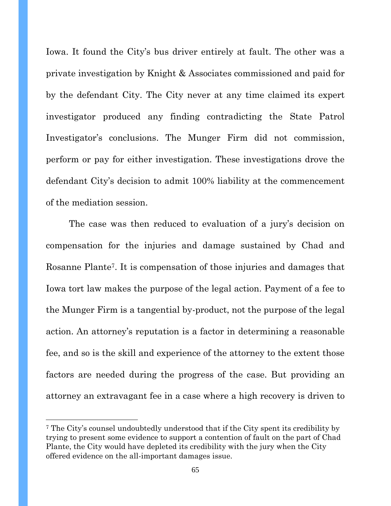Iowa. It found the City's bus driver entirely at fault. The other was a private investigation by Knight & Associates commissioned and paid for by the defendant City. The City never at any time claimed its expert investigator produced any finding contradicting the State Patrol Investigator's conclusions. The Munger Firm did not commission, perform or pay for either investigation. These investigations drove the defendant City's decision to admit 100% liability at the commencement of the mediation session.

The case was then reduced to evaluation of a jury's decision on compensation for the injuries and damage sustained by Chad and Rosanne Plante7. It is compensation of those injuries and damages that Iowa tort law makes the purpose of the legal action. Payment of a fee to the Munger Firm is a tangential by-product, not the purpose of the legal action. An attorney's reputation is a factor in determining a reasonable fee, and so is the skill and experience of the attorney to the extent those factors are needed during the progress of the case. But providing an attorney an extravagant fee in a case where a high recovery is driven to

<sup>7</sup> The City's counsel undoubtedly understood that if the City spent its credibility by trying to present some evidence to support a contention of fault on the part of Chad Plante, the City would have depleted its credibility with the jury when the City offered evidence on the all-important damages issue.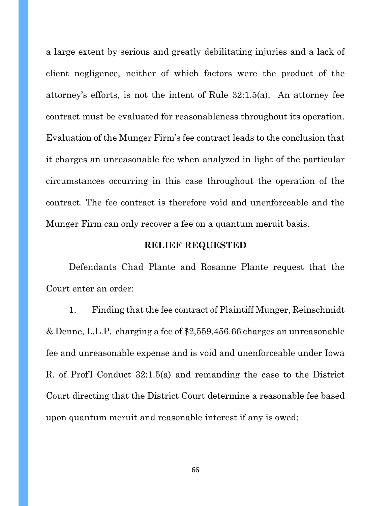a large extent by serious and greatly debilitating injuries and a lack of client negligence, neither of which factors were the product of the attorney's efforts, is not the intent of Rule 32:1.5(a). An attorney fee contract must be evaluated for reasonableness throughout its operation. Evaluation of the Munger Firm's fee contract leads to the conclusion that it charges an unreasonable fee when analyzed in light of the particular circumstances occurring in this case throughout the operation of the contract. The fee contract is therefore void and unenforceable and the Munger Firm can only recover a fee on a quantum meruit basis.

#### **RELIEF REQUESTED**

Defendants Chad Plante and Rosanne Plante request that the Court enter an order:

1. Finding that the fee contract of Plaintiff Munger, Reinschmidt & Denne, L.L.P. charging a fee of \$2,559,456.66 charges an unreasonable fee and unreasonable expense and is void and unenforceable under Iowa R. of Prof'l Conduct 32:1.5(a) and remanding the case to the District Court directing that the District Court determine a reasonable fee based upon quantum meruit and reasonable interest if any is owed;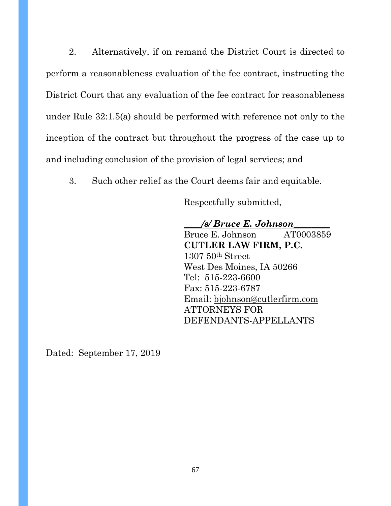2. Alternatively, if on remand the District Court is directed to perform a reasonableness evaluation of the fee contract, instructing the District Court that any evaluation of the fee contract for reasonableness under Rule 32:1.5(a) should be performed with reference not only to the inception of the contract but throughout the progress of the case up to and including conclusion of the provision of legal services; and

3. Such other relief as the Court deems fair and equitable.

Respectfully submitted,

**\_\_\_\_***/s/ Bruce E. Johnson***\_\_\_\_\_\_\_\_** Bruce E. Johnson AT0003859 **CUTLER LAW FIRM, P.C.** 1307 50th Street West Des Moines, IA 50266 Tel: 515-223-6600 Fax: 515-223-6787 Email: [bjohnson@cutlerfirm.com](mailto:bjohnson@cutlerfirm.com) ATTORNEYS FOR DEFENDANTS-APPELLANTS

Dated: September 17, 2019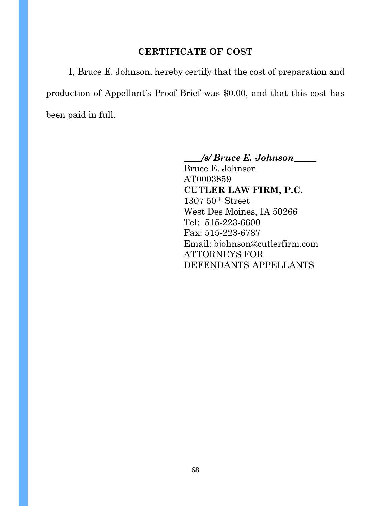### **CERTIFICATE OF COST**

I, Bruce E. Johnson, hereby certify that the cost of preparation and production of Appellant's Proof Brief was \$0.00, and that this cost has been paid in full.

**\_\_\_\_***/s/ Bruce E. Johnson***\_\_\_\_\_**

Bruce E. Johnson AT0003859 **CUTLER LAW FIRM, P.C.** 1307 50th Street West Des Moines, IA 50266 Tel: 515-223-6600 Fax: 515-223-6787 Email: [bjohnson@cutlerfirm.com](mailto:bjohnson@cutlerfirm.com) ATTORNEYS FOR DEFENDANTS-APPELLANTS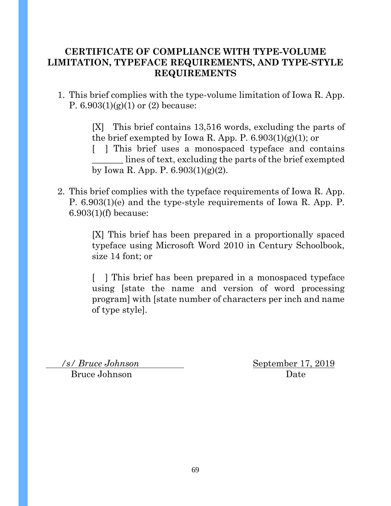### **CERTIFICATE OF COMPLIANCE WITH TYPE-VOLUME LIMITATION, TYPEFACE REQUIREMENTS, AND TYPE-STYLE REQUIREMENTS**

1. This brief complies with the type-volume limitation of Iowa R. App. P.  $6.903(1)(g)(1)$  or  $(2)$  because:

> [X] This brief contains 13,516 words, excluding the parts of the brief exempted by Iowa R. App. P. 6.903(1)(g)(1); or

> [ ] This brief uses a monospaced typeface and contains lines of text, excluding the parts of the brief exempted by Iowa R. App. P. 6.903(1)(g)(2).

2. This brief complies with the typeface requirements of Iowa R. App. P. 6.903(1)(e) and the type-style requirements of Iowa R. App. P. 6.903(1)(f) because:

> [X] This brief has been prepared in a proportionally spaced typeface using Microsoft Word 2010 in Century Schoolbook, size 14 font; or

> [ ] This brief has been prepared in a monospaced typeface using [state the name and version of word processing program] with [state number of characters per inch and name of type style].

Bruce Johnson Date

 */s/ Bruce Johnson* September 17, 2019